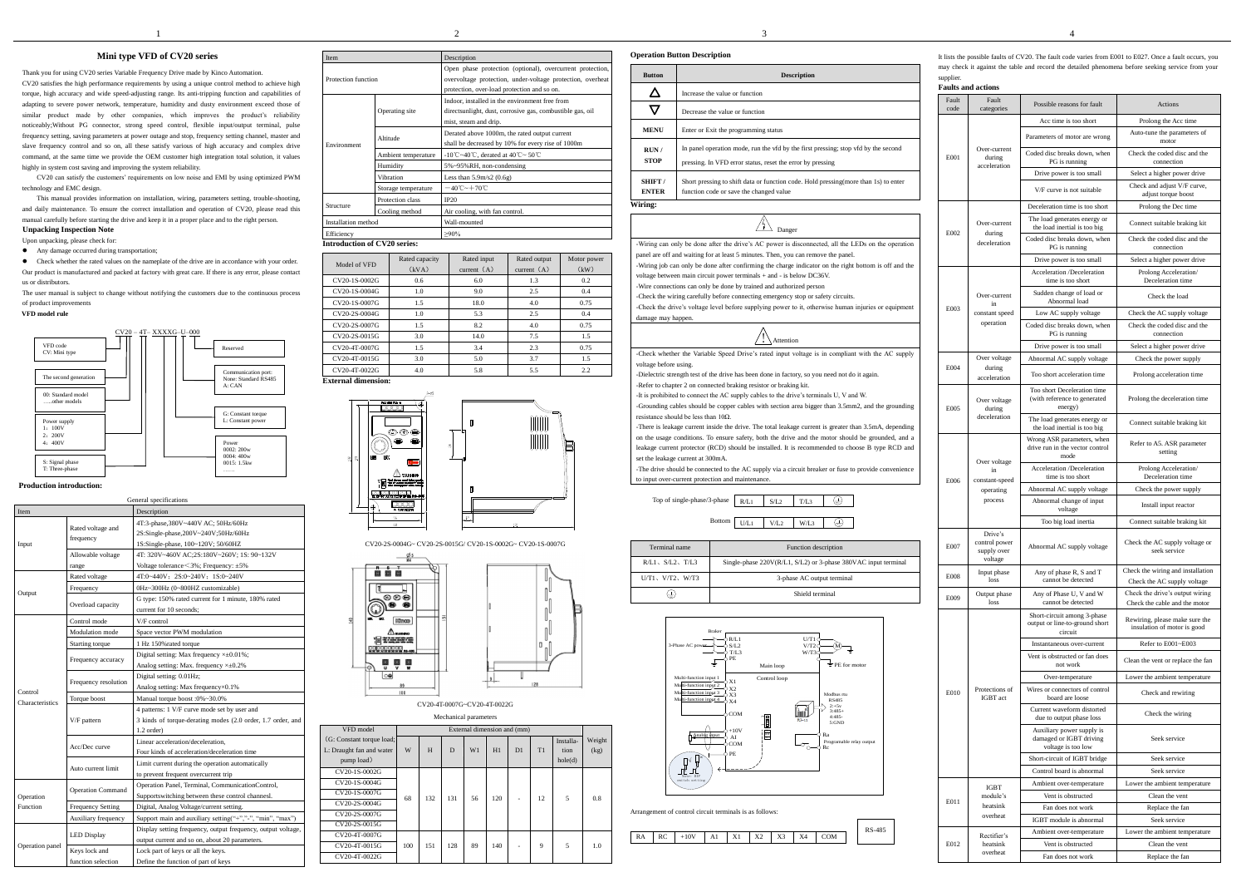# $\frac{2}{3}$  3

## **Mini type VFD of CV20 series**

Thank you for using CV20 series Variable Frequency Drive made by Kinco Automation. CV20 satisfies the high performance requirements by using a unique control method to achieve high torque, high accuracy and wide speed-adjusting range. Its anti-tripping function and capabilities of adapting to severe power network, temperature, humidity and dusty environment exceed those of similar product made by other companies, which improves the product's reliability noticeably;Without PG connector, strong speed control, flexible input/output terminal, pulse frequency setting, saving parameters at power outage and stop, frequency setting channel, master and slave frequency control and so on, all these satisfy various of high accuracy and complex drive command, at the same time we provide the OEM customer high integration total solution, it values highly in system cost saving and improving the system reliability.

CV20 can satisfy the customers' requirements on low noise and EMI by using optimized PWM technology and EMC design.

This manual provides information on installation, wiring, parameters setting, trouble-shooting, and daily maintenance. To ensure the correct installation and operation of CV20, please read this manual carefully before starting the drive and keep it in a proper place and to the right person.

# **Unpacking Inspection Note**

Upon unpacking, please check for:

• Any damage occurred during transportation:

 Check whether the rated values on the nameplate of the drive are in accordance with your order. Our product is manufactured and packed at factory with great care. If there is any error, please contact us or distributors.

The user manual is subject to change without notifying the customers due to the continuous process of product improvements

#### **VFD model rule**

### **Production introduction:**

CV20-4T-0007G~CV20-4T-0022G Mechanical param

|                 |                                                                                                                                                                                                                                                                                                                                           | General specifications                                                                                                      |
|-----------------|-------------------------------------------------------------------------------------------------------------------------------------------------------------------------------------------------------------------------------------------------------------------------------------------------------------------------------------------|-----------------------------------------------------------------------------------------------------------------------------|
| Item            |                                                                                                                                                                                                                                                                                                                                           | Description                                                                                                                 |
| Input           | Rated voltage and<br>frequency                                                                                                                                                                                                                                                                                                            | 4T:3-phase,380V~440V AC; 50Hz/60Hz<br>2S:Single-phase,200V~240V;50Hz/60Hz<br>1S:Single-phase, 100~120V; 50/60HZ             |
|                 | Allowable voltage                                                                                                                                                                                                                                                                                                                         | 4T: 320V~460V AC;2S:180V~260V; 1S: 90~132V<br>Voltage tolerance $\leq$ 3%; Frequency: $\pm$ 5%                              |
|                 |                                                                                                                                                                                                                                                                                                                                           | 4T:0~440V; 2S:0~240V; 1S:0~240V                                                                                             |
|                 |                                                                                                                                                                                                                                                                                                                                           | 0Hz~300Hz (0~800HZ customizable)                                                                                            |
| Output          | Overload capacity                                                                                                                                                                                                                                                                                                                         | G type: 150% rated current for 1 minute, 180% rated<br>current for 10 seconds;                                              |
|                 | Control mode                                                                                                                                                                                                                                                                                                                              | V/F control                                                                                                                 |
|                 | Modulation mode                                                                                                                                                                                                                                                                                                                           | Space vector PWM modulation                                                                                                 |
|                 | range<br>Rated voltage<br>Frequency<br>Starting torque<br>Frequency accuracy<br>Frequency resolution<br>Torque boost<br>Characteristics<br>V/F pattern<br>Acc/Dec curve<br>Auto current limit<br><b>Operation Command</b><br><b>Frequency Setting</b><br>Auxiliary frequency<br><b>LED Display</b><br>Keys lock and<br>function selection | 1 Hz 150% rated torque                                                                                                      |
|                 |                                                                                                                                                                                                                                                                                                                                           | Digital setting: Max frequency $\times\pm0.01\%$ ;<br>Analog setting: Max. frequency $\times\pm0.2\%$                       |
|                 |                                                                                                                                                                                                                                                                                                                                           | Digital setting: 0.01Hz;<br>Analog setting: Max frequency ×0.1%                                                             |
| Control         | Manual torque boost :0%~30.0%                                                                                                                                                                                                                                                                                                             |                                                                                                                             |
|                 |                                                                                                                                                                                                                                                                                                                                           | 4 patterns: 1 V/F curve mode set by user and<br>3 kinds of torque-derating modes (2.0 order, 1.7 order, and<br>$1.2$ order) |
|                 |                                                                                                                                                                                                                                                                                                                                           | Linear acceleration/deceleration.<br>Four kinds of acceleration/deceleration time                                           |
|                 |                                                                                                                                                                                                                                                                                                                                           | Limit current during the operation automatically<br>to prevent frequent overcurrent trip                                    |
| Operation       |                                                                                                                                                                                                                                                                                                                                           | Operation Panel, Terminal, CommunicationControl,<br>Supportswitching between these control channesl.                        |
| Function        |                                                                                                                                                                                                                                                                                                                                           | Digital, Analog Voltage/current setting.                                                                                    |
|                 |                                                                                                                                                                                                                                                                                                                                           | Support main and auxiliary setting("+","-", "min", "max")                                                                   |
|                 |                                                                                                                                                                                                                                                                                                                                           | Display setting frequency, output frequency, output voltage,<br>output current and so on, about 20 parameters.              |
| Operation panel |                                                                                                                                                                                                                                                                                                                                           | Lock part of keys or all the keys.                                                                                          |
|                 |                                                                                                                                                                                                                                                                                                                                           | Define the function of part of keys                                                                                         |

-Grounding cables should be copper cables with section area bigger than 3.5mm2, and the grounding resistance should be less than  $10\Omega$ .

| <b>Item</b>         |                                     | Description                                                                                                             |
|---------------------|-------------------------------------|-------------------------------------------------------------------------------------------------------------------------|
| Protection function |                                     | Open phase protection (optional), overcurrent protection,<br>overvoltage protection, under-voltage protection, overheat |
|                     |                                     | protection, over-load protection and so on.                                                                             |
|                     |                                     | Indoor, installed in the environment free from                                                                          |
|                     | Operating site                      | directsunlight, dust, corrosive gas, combustible gas, oil                                                               |
|                     |                                     | mist, steam and drip.                                                                                                   |
|                     |                                     | Derated above 1000m, the rated output current                                                                           |
| Environment         | Altitude                            | shall be decreased by 10% for every rise of 1000m                                                                       |
|                     | Ambient temperature                 | -10°C~40°C, derated at 40°C~ 50°C                                                                                       |
|                     | Humidity                            | 5%~95%RH, non-condensing                                                                                                |
|                     | Vibration                           | Less than $5.9m/s2(0.6g)$                                                                                               |
|                     | Storage temperature                 | $-40^{\circ}$ C ~ $+70^{\circ}$ C                                                                                       |
|                     | Protection class                    | IP20                                                                                                                    |
| Structure           | Cooling method                      | Air cooling, with fan control.                                                                                          |
| Installation method |                                     | Wall-mounted                                                                                                            |
| Efficiency          |                                     | $>90\%$                                                                                                                 |
|                     | <b>Introduction of CV20 series:</b> |                                                                                                                         |

| Model of VFD  | Rated capacity<br>(kVA) | Rated input<br>current $(A)$ | Rated output<br>current $(A)$ | Motor power<br>(kW) |
|---------------|-------------------------|------------------------------|-------------------------------|---------------------|
| CV20-1S-0002G | 0.6                     | 6.0                          | 1.3                           | 0.2                 |
| CV20-1S-0004G | 1.0                     | 9.0                          | 2.5                           | 0.4                 |
| CV20-1S-0007G | 1.5                     | 18.0                         | 4.0                           | 0.75                |
| CV20-2S-0004G | 1.0                     | 5.3                          | 2.5                           | 0.4                 |
| CV20-2S-0007G | 1.5                     | 8.2                          | 4.0                           | 0.75                |
| CV20-2S-0015G | 3.0                     | 14.0                         | 7.5                           | 1.5                 |
| CV20-4T-0007G | 1.5                     | 3.4                          | 2.3                           | 0.75                |
| CV20-4T-0015G | 3.0                     | 5.0                          | 3.7                           | 1.5                 |
| CV20-4T-0022G | 4.0                     | 5.8                          | 5.5                           | 2.2                 |

**External dimension:**



CV20-2S-0004G~ CV20-2S-0015G/ CV20-1S-0002G~ CV20-1S-0007G



|                                                                     |     |                             | wicchanneal parameters |    |     |    |    |                              |                |
|---------------------------------------------------------------------|-----|-----------------------------|------------------------|----|-----|----|----|------------------------------|----------------|
| VFD model                                                           |     | External dimension and (mm) |                        |    |     |    |    |                              |                |
| (G: Constant torque load;<br>L: Draught fan and water<br>pump load) | W   | H                           | D                      | W1 | H1  | D1 | T1 | Installa-<br>tion<br>hole(d) | Weight<br>(kg) |
| CV20-1S-0002G                                                       |     |                             |                        |    |     |    |    |                              |                |
| CV20-1S-0004G                                                       |     |                             | 131                    | 56 | 120 |    | 12 | 5                            |                |
| CV20-1S-0007G                                                       | 68  | 132                         |                        |    |     |    |    |                              | 0.8            |
| CV20-2S-0004G                                                       |     |                             |                        |    |     |    |    |                              |                |
| CV20-2S-0007G                                                       |     |                             |                        |    |     |    |    |                              |                |
| CV20-2S-0015G                                                       |     |                             |                        |    |     |    |    |                              |                |
| CV20-4T-0007G                                                       |     |                             |                        |    |     |    |    |                              |                |
| CV20-4T-0015G                                                       | 100 | 151                         | 128                    | 89 | 140 | ٠  | 9  | 5                            | 1.0            |
| CV20-4T-0022G                                                       |     |                             |                        |    |     |    |    |                              |                |

| <b>Operation Button Description</b> |                                                                                                                                                  |  |  |  |  |  |  |
|-------------------------------------|--------------------------------------------------------------------------------------------------------------------------------------------------|--|--|--|--|--|--|
| <b>Button</b>                       | <b>Description</b>                                                                                                                               |  |  |  |  |  |  |
|                                     | Increase the value or function                                                                                                                   |  |  |  |  |  |  |
|                                     | Decrease the value or function                                                                                                                   |  |  |  |  |  |  |
| <b>MENU</b>                         | Enter or Exit the programming status                                                                                                             |  |  |  |  |  |  |
| RUN/<br><b>STOP</b>                 | In panel operation mode, run the vfd by the first pressing; stop vfd by the second<br>pressing. In VFD error status, reset the error by pressing |  |  |  |  |  |  |
| SHIFT/<br><b>ENTER</b>              | Short pressing to shift data or function code. Hold pressing (more than 1s) to enter<br>function code or save the changed value                  |  |  |  |  |  |  |
| Wiring:                             |                                                                                                                                                  |  |  |  |  |  |  |



-Wiring can only be done after the drive's AC power is disconnected, all the LEDs on the operation panel are off and waiting for at least 5 minutes. Then, you can remove the panel.

-Wiring job can only be done after confirming the charge indicator on the right bottom is off and the voltage between main circuit power terminals + and - is below DC36V.

-Wire connections can only be done by trained and authorized person

-Check the wiring carefully before connecting emergency stop or safety circuits.

-Check the drive's voltage level before supplying power to it, otherwise human injuries or equipment damage may happen.

-Check whether the Variable Speed Drive's rated input voltage is in compliant with the AC supply voltage before using.

-Dielectric strength test of the drive has been done in factory, so you need not do it again. -Refer to chapter 2 on connected braking resistor or braking kit.

-It is prohibited to connect the AC supply cables to the drive's terminals U, V and W.



-There is leakage current inside the drive. The total leakage current is greater than 3.5mA, depending

on the usage conditions. To ensure safety, both the drive and the motor should be grounded, and a

leakage current protector (RCD) should be installed. It is recommended to choose B type RCD and set the leakage current at 300mA.

-The drive should be connected to the AC supply via a circuit breaker or fuse to provide convenience to input over-current protection and maintenance.

| Terminal name            | Function description                                           |
|--------------------------|----------------------------------------------------------------|
| $R/L1$ , $S/L2$ , $T/L3$ | Single-phase 220V(R/L1, S/L2) or 3-phase 380VAC input terminal |
| $U/T1$ , $V/T2$ , $W/T3$ | 3-phase AC output terminal                                     |
| (طی                      | Shield terminal                                                |



Arrangement of control circuit terminals is as follows:

It lists the possible faults of CV20. The fault code varies from E001 to E027. Once a fault occurs, you may check it against the table and record the detailed phenomena before seeking service from your supplier.





| <b>Faults and actions</b> |                                                    |                                                                            |                                                                  |  |  |  |  |  |
|---------------------------|----------------------------------------------------|----------------------------------------------------------------------------|------------------------------------------------------------------|--|--|--|--|--|
| Fault<br>code             | Fault<br>categories                                | Possible reasons for fault                                                 | Actions                                                          |  |  |  |  |  |
|                           |                                                    | Acc time is too short                                                      | Prolong the Acc time                                             |  |  |  |  |  |
|                           |                                                    | Parameters of motor are wrong                                              | Auto-tune the parameters of<br>motor                             |  |  |  |  |  |
| E001                      | Over-current<br>during<br>acceleration             | Coded disc breaks down, when<br>PG is running                              | Check the coded disc and the<br>connection                       |  |  |  |  |  |
|                           |                                                    | Drive power is too small                                                   | Select a higher power drive                                      |  |  |  |  |  |
|                           |                                                    | V/F curve is not suitable                                                  | Check and adjust V/F curve,<br>adjust torque boost               |  |  |  |  |  |
|                           |                                                    | Deceleration time is too short                                             | Prolong the Dec time                                             |  |  |  |  |  |
| E002                      | Over-current<br>during                             | The load generates energy or<br>the load inertial is too big               | Connect suitable braking kit                                     |  |  |  |  |  |
|                           | deceleration                                       | Coded disc breaks down, when<br>PG is running                              | Check the coded disc and the<br>connection                       |  |  |  |  |  |
|                           |                                                    | Drive power is too small                                                   | Select a higher power drive                                      |  |  |  |  |  |
|                           |                                                    | Acceleration /Deceleration<br>time is too short                            | Prolong Acceleration/<br>Deceleration time                       |  |  |  |  |  |
|                           | Over-current<br>in                                 | Sudden change of load or<br>Abnormal load                                  | Check the load                                                   |  |  |  |  |  |
| E003                      | constant speed                                     | Low AC supply voltage                                                      | Check the AC supply voltage                                      |  |  |  |  |  |
|                           | operation                                          | Coded disc breaks down, when<br>PG is running                              | Check the coded disc and the<br>connection                       |  |  |  |  |  |
|                           |                                                    | Drive power is too small                                                   | Select a higher power drive                                      |  |  |  |  |  |
| E004                      | Over voltage<br>during                             | Abnormal AC supply voltage                                                 | Check the power supply                                           |  |  |  |  |  |
|                           | acceleration                                       | Too short acceleration time                                                | Prolong acceleration time                                        |  |  |  |  |  |
| E005                      | Over voltage<br>during                             | Too short Deceleration time<br>(with reference to generated<br>energy)     | Prolong the deceleration time                                    |  |  |  |  |  |
|                           | deceleration                                       | The load generates energy or<br>the load inertial is too big               | Connect suitable braking kit                                     |  |  |  |  |  |
|                           | Over voltage                                       | Wrong ASR parameters, when<br>drive run in the vector control<br>mode      | Refer to A5. ASR parameter<br>setting                            |  |  |  |  |  |
|                           | in                                                 | Acceleration /Deceleration<br>time is too short                            | Prolong Acceleration/<br>Deceleration time                       |  |  |  |  |  |
| E006                      | constant-speed<br>operating                        | Abnormal AC supply voltage                                                 | Check the power supply                                           |  |  |  |  |  |
|                           | process                                            | Abnormal change of input<br>voltage                                        | Install input reactor                                            |  |  |  |  |  |
|                           |                                                    | Too big load inertia                                                       | Connect suitable braking kit                                     |  |  |  |  |  |
| E007                      | Drive's<br>control power<br>supply over<br>voltage | Abnormal AC supply voltage                                                 | Check the AC supply voltage or<br>seek service                   |  |  |  |  |  |
| E008                      | Input phase<br>loss                                | Any of phase R, S and T<br>cannot be detected                              | Check the wiring and installation<br>Check the AC supply voltage |  |  |  |  |  |
| E009                      | Output phase<br>loss                               | Any of Phase U, V and W<br>cannot be detected                              | Check the drive's output wiring<br>Check the cable and the motor |  |  |  |  |  |
|                           |                                                    | Short-circuit among 3-phase<br>output or line-to-ground short<br>circuit   | Rewiring, please make sure the<br>insulation of motor is good    |  |  |  |  |  |
|                           |                                                    | Instantaneous over-current                                                 | Refer to E001~E003                                               |  |  |  |  |  |
|                           |                                                    | Vent is obstructed or fan does<br>not work                                 | Clean the vent or replace the fan                                |  |  |  |  |  |
|                           |                                                    | Over-temperature                                                           | Lower the ambient temperature                                    |  |  |  |  |  |
| E010                      | Protections of<br><b>IGBT</b> act                  | Wires or connectors of control<br>board are loose                          | Check and rewiring                                               |  |  |  |  |  |
|                           |                                                    | Current waveform distorted<br>due to output phase loss                     | Check the wiring                                                 |  |  |  |  |  |
|                           |                                                    | Auxiliary power supply is<br>damaged or IGBT driving<br>voltage is too low | Seek service                                                     |  |  |  |  |  |
|                           |                                                    | Short-circuit of IGBT bridge                                               | Seek service                                                     |  |  |  |  |  |
|                           |                                                    | Control board is abnormal                                                  | Seek service                                                     |  |  |  |  |  |
|                           | <b>IGBT</b>                                        | Ambient over-temperature                                                   | Lower the ambient temperature                                    |  |  |  |  |  |
| E011                      | module's<br>heatsink                               | Vent is obstructed                                                         | Clean the vent                                                   |  |  |  |  |  |
|                           | overheat                                           | Fan does not work<br>IGBT module is abnormal                               | Replace the fan<br>Seek service                                  |  |  |  |  |  |
|                           |                                                    | Ambient over-temperature                                                   | Lower the ambient temperature                                    |  |  |  |  |  |
| E012                      | Rectifier's<br>heatsink                            | Vent is obstructed                                                         | Clean the vent                                                   |  |  |  |  |  |
|                           | overheat                                           | Fan does not work                                                          | Replace the fan                                                  |  |  |  |  |  |

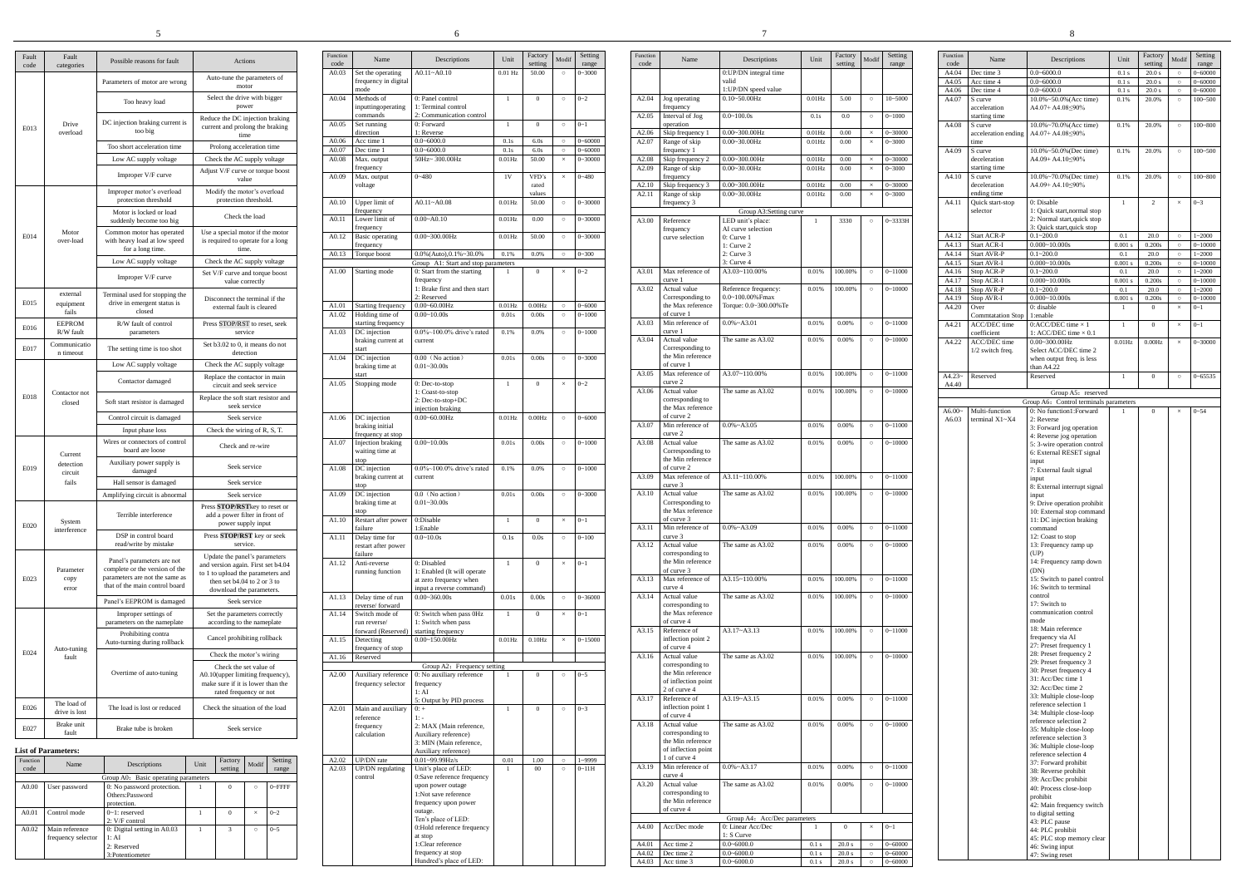|               |                            |                                                                  |                                                                         |                  |                                                 | 6                                                  |                    |                    |          |                            |                  |                                          |                                               |                                 |                    |          |                        |                  |                                          |                                                         |
|---------------|----------------------------|------------------------------------------------------------------|-------------------------------------------------------------------------|------------------|-------------------------------------------------|----------------------------------------------------|--------------------|--------------------|----------|----------------------------|------------------|------------------------------------------|-----------------------------------------------|---------------------------------|--------------------|----------|------------------------|------------------|------------------------------------------|---------------------------------------------------------|
|               |                            |                                                                  |                                                                         |                  |                                                 |                                                    |                    |                    |          |                            |                  |                                          |                                               |                                 |                    |          |                        |                  |                                          |                                                         |
| Fault<br>code | Fault<br>categories        | Possible reasons for fault                                       | Actions                                                                 | Function<br>code | Name                                            | Descriptions                                       | Unit               | Factory<br>setting | Modi     | Setting<br>range           | Function<br>code | Name                                     | Descriptions                                  | Unit                            | Factory<br>setting | Modi     | Setting<br>range       | Function<br>code | Name                                     | Descript                                                |
|               |                            | Parameters of motor are wrong                                    | Auto-tune the parameters of<br>motor                                    | A0.03            | Set the operating<br>frequency in digital       | $A0.11 - A0.10$                                    | $0.01$ Hz          | 50.00              | $\circ$  | $0 - 3000$                 |                  |                                          | 0:UP/DN integral time<br>valid                |                                 |                    |          |                        | A4.04<br>A4.05   | Dec time 3<br>Acc time 4                 | $0.0 - 6000.0$<br>$0.0 - 6000.0$                        |
|               |                            | Too heavy load                                                   | Select the drive with bigger                                            | A0.04            | mode<br>Methods of                              | 0: Panel control                                   |                    | $\theta$           | $\circ$  | $0 - 2$                    | A2.04            | Jog operating                            | 1:UP/DN speed value<br>$0.10 - 50.00$ Hz      | $0.01$ Hz                       | 5.00               | $\circ$  | $10 - 5000$            | A4.06<br>A4.07   | Dec time 4<br>S curve                    | $0.0 - 6000.0$<br>$10.0\% \sim 50.0\%$ (                |
|               |                            |                                                                  | power<br>Reduce the DC injection braking                                |                  | inputtingoperating<br>commands                  | 1: Terminal control<br>2: Communication control    |                    |                    |          |                            | A2.05            | frequency<br>Interval of Jog             | $0.0 - 100.0s$                                | 0.1s                            | 0.0                | $\circ$  | $0 - 1000$             |                  | acceleration<br>starting time            | $A4.07 + A4.08 \leq$                                    |
| E013          | Drive<br>overload          | DC injection braking current is<br>too big                       | current and prolong the braking<br>time                                 | A0.05            | Set running<br>direction                        | 0: Forward<br>1: Reverse                           | $\overline{1}$     | $\overline{0}$     | $\circ$  | $0 - 1$                    | A2.06            | operation<br>Skip frequency              | $0.00 - 300.00$ Hz                            | $0.01$ Hz                       | 0.00               |          | 30000                  | A4.08            | S curve<br>acceleration ending           | $10.0\% - 70.0\%$ (<br>A4.07+ A4.08                     |
|               |                            | Too short acceleration time                                      | Prolong acceleration time                                               | A0.06<br>A0.07   | Acc time 1<br>Dec time 1                        | $0.0 - 6000.0$<br>$0.0 - 6000.0$                   | 0.1s<br>0.1s       | 6.0s<br>6.0s       |          | $0 - 60000$<br>$0 - 60000$ | A2.07            | Range of skip<br>frequency 1             | $0.00 - 30.00$ Hz                             | $0.01$ Hz                       | 0.00               |          | $0 - 3000$             | A4.09            | time<br>S curve                          | $10.0\% \sim 50.0\%$ (I                                 |
|               |                            | Low AC supply voltage                                            | Check the AC supply voltage                                             | A0.08            | Max. output<br>frequency                        | 50Hz~300.00Hz                                      | $0.01$ Hz          | 50.00              |          | $0 - 30000$                | A2.08<br>A2.09   | Skip frequency 2<br>Range of skip        | $0.00 - 300.00$ Hz<br>$0.00 - 30.00$ Hz       | 0.01H <sub>2</sub><br>$0.01$ Hz | 0.00<br>0.00       |          | $-30000$<br>$3 - 3000$ |                  | deceleration<br>starting time            | $A4.09 + A4.10 \leq$                                    |
|               |                            | Improper V/F curve                                               | Adjust V/F curve or torque boost<br>value                               | A0.09            | Max. output<br>voltage                          | $0 - 480$                                          | 1V                 | VFD's<br>rated     |          | $0 - 480$                  | A2.10            | frequency<br>Skip frequency 3            | $0.00 - 300.00$ Hz                            | $0.01$ Hz                       | 0.00               |          | 30000                  | A4.10            | S curve<br>deceleration                  | $10.0\% - 70.0\%$ (I<br>A4.09+ A4.10≤                   |
|               |                            | Improper motor's overload<br>protection threshold                | Modify the motor's overload<br>protection threshold                     | A0.10            | Upper limit of                                  | $A0.11 - A0.08$                                    | $0.01$ Hz          | values<br>50.00    |          | $0 - 30000$                | A2.11            | Range of skip<br>frequency 3             | $0.00 - 30.00$ Hz                             | $0.01$ Hz                       | 0.00               | $\times$ | $0 - 3000$             | A4.11            | ending time<br>Quick start-stop          | 0: Disable                                              |
|               |                            | Motor is locked or load<br>suddenly become too big               | Check the load                                                          | A0.11            | frequency<br>Lower limit of                     | $0.00 - A0.10$                                     | $0.01$ Hz          | 0.00               | $\circ$  | $0 - 30000$                |                  | A3.00 Reference                          | Group A3:Setting curve<br>LED unit's place:   |                                 | 3330               |          | 0~3333H                |                  | selector                                 | 1: Quick start, no<br>2: Normal start.                  |
| E014          | Motor                      | Common motor has operated                                        | Use a special motor if the motor                                        | A0.12            | frequency<br><b>Basic</b> operating             | $0.00 - 300.00$ Hz                                 | $0.01$ Hz          | 50.00              |          | $0 - 30000$                |                  | frequency<br>curve selection             | AI curve selection<br>0: Curve 1              |                                 |                    |          |                        | A4.12            | <b>Start ACR-P</b>                       | 3: Quick start,qr<br>$0.1 - 200.0$                      |
|               | over-load                  | with heavy load at low speed<br>for a long time.                 | is required to operate for a long<br>time.                              |                  | frequency<br>A0.13 Torque boost                 | $0.0\%$ (Auto), $0.1\%$ ~ 30.0%                    | 0.1%               | 0.0%               |          | $0 - 300$                  |                  |                                          | 1: Curve 2<br>2: Curve 3                      |                                 |                    |          |                        | A4.13<br>A4.14   | Start ACR-I<br><b>Start AVR-P</b>        | $0.000 - 10.000s$<br>$0.1 - 200.0$                      |
|               |                            | Low AC supply voltage                                            | Check the AC supply voltage                                             |                  |                                                 | Group A1: Start and stop parameters                |                    |                    |          |                            |                  |                                          | $3:$ Curve $4$                                |                                 |                    |          |                        | A4.15            | Start AVR-I                              | $0.000 - 10.000s$                                       |
|               |                            | Improper V/F curve                                               | Set V/F curve and torque boost                                          |                  | A1.00 Starting mode                             | 0: Start from the starting<br>frequency            |                    | $\theta$           |          | $0 - 2$                    | A3.01            | Max reference of<br>curve 1              | A3.03~110.00%                                 | 0.01%                           | 100.00%            | $\circ$  | $0 - 11000$            | A4.16<br>A4.17   | <b>Stop ACR-P</b><br>Stop ACR-I          | $0.1 - 200.0$<br>$0.000 - 10.000s$                      |
|               | external                   | Terminal used for stopping the                                   | value correctly                                                         |                  |                                                 | 1: Brake first and then start<br>2: Reserved       |                    |                    |          |                            | A3.02            | Actual value<br>Corresponding to         | Reference frequency:<br>$0.0 - 100.00\%$ Fmax | 0.01%                           | 100.00%            | $\circ$  | $0 - 10000$            | A4.18            | Stop AVR-P                               | $0.1 - 200.0$<br>$0.000 - 10.000s$                      |
| E015          | equipment<br>fails         | drive in emergent status is<br>closed                            | Disconnect the terminal if the<br>external fault is cleared             | A1.01<br>A1.02   | Starting frequenc<br>Holding time of            | $0.00 - 60.00$ Hz<br>$0.00 - 10.00s$               | $0.01$ Hz<br>0.01s | 0.00Hz<br>0.00s    | $\circ$  | $0 - 6000$<br>$0 - 1000$   |                  | the Max reference<br>of curve 1          | Torque: 0.0~300.00% Te                        |                                 |                    |          |                        | A4.19<br>A4.20   | Stop AVR-I<br>Over                       | 0: disable                                              |
| E016          | <b>EEPROM</b><br>R/W fault | R/W fault of control                                             | Press STOP/RST to reset, seek<br>service                                | A1.03            | starting frequency<br>DC injection              | $0.0\%$ ~100.0% drive's rated                      | 0.1%               | 0.0%               | $\circ$  | $0 - 1000$                 | A3.03            | Min reference of<br>curve 1              | $0.0\%$ ~A3.01                                | 0.01%                           | 0.00%              | $\circ$  | $0 - 11000$            | A4.21            | <b>Commtatation Stop</b><br>ACC/DEC time | 1:enable<br>0:ACC/DEC tin                               |
| E017          | Communicatio               | parameters<br>The setting time is too shot                       | Set b3.02 to 0, it means do not                                         |                  | braking current at<br>start                     | current                                            |                    |                    |          |                            | A3.04            | Actual value<br>Corresponding to         | The same as A3.02                             | 0.01%                           | 0.00%              | $\circ$  | $0 - 10000$            | A4.22            | coefficient<br>ACC/DEC time              | l: ACC/DEC tii<br>$0.00 - 300.00$ Hz                    |
|               | n timeout                  | Low AC supply voltage                                            | detection<br>Check the AC supply voltage                                |                  | A1.04 DC injection<br>braking time at           | $0.00$ (No action)<br>$0.01 - 30.00s$              | 0.01s              | 0.00s              | $\circ$  | $0 - 3000$                 |                  | the Min reference<br>of curve 1          |                                               |                                 |                    |          |                        |                  | 1/2 switch freq.                         | Select ACC/DE<br>when output fre                        |
|               |                            | Contactor damaged                                                | Replace the contactor in main                                           |                  | start                                           | 0: Dec-to-stop                                     |                    | $\theta$           |          | $0 - 2$                    | A3.05            | Max reference of<br>curve 2              | A3.07~110.00%                                 | 0.01%                           | 100.00%            | $\circ$  | $0 - 11000$            | $A4.23-$         | Reserved                                 | than A4.22<br>Reserved                                  |
| E018          | Contactor not              |                                                                  | circuit and seek service<br>Replace the soft start resistor and         |                  | A1.05 Stopping mode                             | : Coast-to-stop<br>2: Dec-to-stop+DC               |                    |                    | $\times$ |                            | A3.06            | Actual value<br>corresponding to         | The same as A3.02                             | 0.01%                           | 100.00%            | $\circ$  | $0 - 10000$            | A4.40            |                                          | Group A                                                 |
|               | closed                     | Soft start resistor is damaged<br>Control circuit is damaged     | seek service                                                            |                  | A1.06 DC injection                              | injection braking<br>$0.00 - 60.00$ Hz             | $0.01$ Hz          | $0.00 \text{Hz}$   | $\circ$  | $0 - 6000$                 |                  | the Max reference<br>of curve 2          |                                               |                                 |                    |          |                        | A6.00~           | Multi-function                           | Group A6: Contro<br>0: No function1                     |
|               |                            | Input phase loss                                                 | Seek service<br>Check the wiring of R, S, T.                            |                  | braking initial<br>frequency at stop            |                                                    |                    |                    |          |                            | A3.07            | Min reference of<br>curve 2              | $0.0\% \sim A3.05$                            | 0.01%                           | 0.00%              | $\circ$  | $0 - 11000$            | A6.03            | terminal X1~X4                           | 2: Reverse<br>3: Forward jog                            |
|               |                            | Wires or connectors of control<br>board are loose                | Check and re-wire                                                       |                  | A1.07 Injection braking<br>waiting time at      | $0.00 - 10.00s$                                    | 0.01s              | 0.00s              | $\circ$  | $0 - 1000$                 | A3.08            | Actual value<br>Corresponding to         | The same as A3.02                             | 0.01%                           | 0.00%              | $\circ$  | $0 - 10000$            |                  |                                          | 4: Reverse jog o<br>5: 3-wire operat<br>6: External RES |
| E019          | Current<br>detection       | Auxiliary power supply is<br>damaged                             | Seek service                                                            |                  | stop<br>A1.08 DC injection                      | $0.0\%$ ~100.0% drive's rated                      | 0.1%               | 0.0%               | $\circ$  | $0 - 1000$                 |                  | the Min reference<br>of curve 2          |                                               |                                 |                    |          |                        |                  |                                          | input<br>7: External faul                               |
|               | circuit<br>fails           | Hall sensor is damaged                                           | Seek service                                                            |                  | braking current at<br>stop                      | current                                            |                    |                    |          |                            | A3.09            | Max reference of<br>curve 3              | A3.11~110.00%                                 | 0.01%                           | 100.00%            | $\circ$  | $0 - 11000$            |                  |                                          | input<br>8: External inter                              |
|               |                            | Amplifying circuit is abnormal                                   | Seek service                                                            | A1.09            | DC injection<br>braking time at                 | $0.0$ (No action)<br>$0.01 - 30.00s$               | 0.01s              | 0.00s              | $\circ$  | $0 - 3000$                 | A3.10            | Actual value<br>Corresponding to         | The same as A3.02                             | 0.01%                           | 100.00%            |          | $0 - 10000$            |                  |                                          | input<br>9: Drive operati                               |
|               | System                     | Terrible interference                                            | Press STOP/RSTkey to reset or<br>add a power filter in front of         |                  | stop<br>A1.10 Restart after power 0:Disable     |                                                    |                    | $\overline{0}$     |          | $0 - 1$                    |                  | the Max reference<br>of curve 3          |                                               |                                 |                    |          |                        |                  |                                          | 10: External sto<br>11: DC injection                    |
| E020          | interference               | DSP in control board                                             | power supply input<br>Press STOP/RST key or seek                        |                  | failure<br>A1.11 Delay time for                 | 1:Enable<br>$0.0 - 10.0s$                          | 0.1s               | 0.0s               | $\circ$  | $0 - 100$                  | A3.11            | Min reference of<br>curve 3              | $0.0\%$ ~A3.09                                | 0.01%                           | 0.00%              | $\circ$  | $0 - 11000$            |                  |                                          | command<br>12: Coast to sto                             |
|               |                            | read/write by mistake                                            | service.<br>Update the panel's parameters                               |                  | restart after power<br>failure                  |                                                    |                    |                    |          |                            | A3.12            | Actual value<br>corresponding to         | The same as A3.02                             | 0.01%                           | 0.00%              | $\circ$  | $0 - 10000$            |                  |                                          | 13: Frequency r<br>(UP)                                 |
|               | Parameter                  | Panel's parameters are not<br>complete or the version of the     | and version again. First set b4.04<br>to 1 to upload the parameters and |                  | A1.12 Anti-reverse<br>running function          | 0: Disabled<br>: Enabled (It will operate          |                    | $\overline{0}$     | $\times$ | $0 - 1$                    |                  | the Min reference<br>of curve 3          |                                               |                                 |                    |          |                        |                  |                                          | 14: Frequency r<br>(DN)                                 |
| E023          | copy<br>error              | parameters are not the same as<br>that of the main control board | then set $b4.04$ to 2 or 3 to<br>download the parameters.               |                  |                                                 | at zero frequency when<br>input a reverse command) |                    |                    |          |                            | A3.13            | Max reference of<br>curve 4              | A3.15~110.00%                                 | 0.01%                           | 100.00%            | $\circ$  | $0 - 11000$            |                  |                                          | 15: Switch to pa<br>16: Switch to te                    |
|               |                            | Panel's EEPROM is damaged                                        | Seek service                                                            |                  | A1.13 Delay time of run<br>reverse/forward      | $0.00 - 360.00s$                                   | 0.01s              | 0.00s              | $\circ$  | $0 - 36000$                | A3.14            | Actual value<br>corresponding to         | The same as A3.02                             | 0.01%                           | 100.00%            | $\circ$  | $0 - 10000$            |                  |                                          | control<br>17: Switch to                                |
|               |                            | Improper settings of<br>parameters on the nameplate              | Set the parameters correctly<br>according to the nameplate              | A1.14            | Switch mode of<br>run reverse/                  | 0: Switch when pass 0Hz<br>1: Switch when pass     |                    | $\overline{0}$     | $\times$ | $0 - 1$                    |                  | the Max reference<br>of curve 4          |                                               |                                 |                    |          |                        |                  |                                          | communication<br>mode                                   |
|               |                            | Prohibiting contra<br>Auto-turning during rollback               | Cancel prohibiting rollback                                             |                  | forward (Reserved)<br>A1.15 Detecting           | starting frequency<br>$0.00 - 150.00$ Hz           | $0.01$ Hz          | $0.10\text{Hz}$    | $\times$ | $0 - 15000$                |                  | A3.15 Reference of<br>inflection point 2 | $A3.17 - A3.13$                               | 0.01%                           | 100.00%            | $\circ$  | $0 - 11000$            |                  |                                          | 18: Main refere<br>frequency via A                      |
| E024          | Auto-tuning<br>fault       |                                                                  | Check the motor's wiring                                                |                  | frequency of stop<br>A1.16 Reserved             |                                                    |                    |                    |          |                            | A3.16            | of curve 4<br>Actual value               | The same as A3.02                             | 0.01%                           | 100.00%            | $\circ$  | $0 - 10000$            |                  |                                          | 27: Preset freque<br>28: Preset freque                  |
|               |                            |                                                                  | Check the set value of                                                  |                  |                                                 | Group A2: Frequency setting                        |                    |                    |          |                            |                  | corresponding to                         |                                               |                                 |                    |          |                        |                  |                                          | 29: Preset frequ<br>30: Preset frequ                    |
|               |                            | Overtime of auto-tuning                                          | A0.10(upper limiting frequency),<br>make sure if it is lower than the   |                  | A2.00 Auxiliary reference<br>frequency selector | 0: No auxiliary reference<br>frequency             |                    | $\overline{0}$     | $\circ$  | $0 - 5$                    |                  | the Min reference<br>of inflection point |                                               |                                 |                    |          |                        |                  |                                          | 31: Acc/Dec tin                                         |
|               | The load of                |                                                                  | rated frequency or not                                                  |                  |                                                 | 1:AI<br>5: Output by PID process                   |                    |                    |          |                            | A3.17            | 2 of curve 4<br>Reference of             | A3.19~A3.15                                   | 0.01%                           | 0.00%              | $\circ$  | $0 - 11000$            |                  |                                          | 32: Acc/Dec tin<br>33: Multiple clo<br>reference select |
| E026          | drive is lost              | The load is lost or reduced                                      | Check the situation of the load                                         | A2.01            | Main and auxiliary<br>reference                 | $1: -$                                             |                    | $\overline{0}$     | $\circ$  | $0 - 3$                    |                  | inflection point 1<br>of curve 4         |                                               |                                 |                    |          |                        |                  |                                          | 34: Multiple clo<br>reference select                    |
| E027          | Brake unit<br>fault        | Brake tube is broken                                             | Seek service                                                            |                  | frequency<br>calculation                        | 2: MAX (Main reference,<br>Auxiliary reference)    |                    |                    |          |                            | A3.18            | Actual value<br>corresponding to         | The same as A3.02                             | 0.01%                           | 0.00%              | $\circ$  | $0 - 10000$            |                  |                                          | 35: Multiple clo<br>reference select                    |
|               |                            |                                                                  |                                                                         |                  |                                                 |                                                    |                    |                    |          |                            |                  |                                          |                                               |                                 |                    |          |                        |                  |                                          |                                                         |

# **List of Parameters:**

| <b>Function</b><br>code | Name                                 | Descriptions                                                          | Unit | Factory<br>setting | Modif      | Setting<br>range |
|-------------------------|--------------------------------------|-----------------------------------------------------------------------|------|--------------------|------------|------------------|
|                         |                                      | Group A0: Basic operating parameters                                  |      |                    |            |                  |
| A0.00                   | User password                        | 0: No password protection.<br>Others:Password<br>protection.          |      | $\Omega$           |            | $0 - FFFF$       |
| A0.01                   | Control mode                         | $0-1$ : reserved<br>$2: V/F$ control                                  |      | $\Omega$           | $\times$   | $0 - 2$          |
| A0.02                   | Main reference<br>frequency selector | 0: Digital setting in A0.03<br>1:AI<br>2: Reserved<br>3:Potentiometer |      | 3                  | $\bigcirc$ | $0 - 5$          |

| Function<br>code | Name                                                     | Descriptions                                                                                     | Unit                   | Factory<br>setting       | Modif              | Setting<br>range           |
|------------------|----------------------------------------------------------|--------------------------------------------------------------------------------------------------|------------------------|--------------------------|--------------------|----------------------------|
| A0.03            | Set the operating<br>frequency in digital<br>mode        | $A0.11 - A0.10$                                                                                  | $0.01$ Hz              | 50.00                    | $\circ$            | $0 - 3000$                 |
| A0.04            | Methods of<br>inputtingoperating<br>commands             | 0: Panel control<br>1: Terminal control<br>2: Communication control                              | $\mathbf{1}$           | $\mathbf{0}$             | $\circ$            | $0 - 2$                    |
| A0.05            | $\overline{\text{Set}}$ running<br>direction             | 0: Forward<br>1: Reverse                                                                         | $\mathbf{1}$           | $\mathbf{0}$             | $\circ$            | $0 - 1$                    |
| A0.06            | Acc time 1                                               | $0.0 - 6000.0$                                                                                   | 0.1s                   | 6.0s                     | $\circ$            | $0 - 60000$                |
| A0.07            | Dec time 1                                               | $0.0 - 6000.0$                                                                                   | 0.1s                   | 6.0s                     | $\circ$            | $0 - 60000$                |
| A0.08            | Max. output<br>frequency                                 | 50Hz~300.00Hz                                                                                    | $0.01$ Hz              | 50.00                    | $\times$           | $0 - 30000$                |
| A0.09            | Max. output<br>voltage                                   | $0 - 480$                                                                                        | 1V                     | VFD's<br>rated<br>values | $\times$           | $0 - 480$                  |
| A0.10            | Upper limit of<br>frequency                              | $A0.11 - A0.08$                                                                                  | $0.01$ Hz              | 50.00                    | $\circ$            | $0 - 30000$                |
| A0.11<br>A0.12   | Lower limit of<br>frequency<br><b>Basic</b> operating    | $0.00 - A0.10$<br>$0.00 - 300.00$ Hz                                                             | $0.01$ Hz<br>$0.01$ Hz | 0.00<br>50.00            | $\circ$<br>$\circ$ | $0 - 30000$<br>$0 - 30000$ |
| A0.13            | frequency<br>Torque boost                                | $0.0\%$ (Auto), $0.1\%$ ~30.0%                                                                   | 0.1%                   | 0.0%                     | $\circ$            | $0 - 300$                  |
|                  |                                                          | Group A1: Start and stop parameters                                                              |                        |                          |                    |                            |
| A1.00            | Starting mode                                            | 0: Start from the starting<br>frequency<br>1: Brake first and then start<br>2: Reserved          | 1                      | $\mathbf{0}$             | $\times$           | $0 - 2$                    |
| A1.01            | Starting frequency                                       | $0.00 - 60.00$ Hz                                                                                | $0.01$ Hz              | 0.00Hz                   | $\circ$            | $0 - 6000$                 |
| A1.02            | Holding time of                                          | $0.00 - 10.00s$                                                                                  | 0.01s                  | 0.00s                    | $\circ$            | $0 - 1000$                 |
| A1.03            | starting frequency<br>DC injection<br>braking current at | $0.0\%$ ~100.0% drive's rated<br>current                                                         | 0.1%                   | 0.0%                     | $\circ$            | $0 - 1000$                 |
| A1.04            | start<br>DC injection<br>braking time at<br>start        | 0.00 (No action)<br>$0.01 - 30.00s$                                                              | 0.01s                  | 0.00s                    | $\circ$            | $0 - 3000$                 |
| A1.05            | Stopping mode                                            | 0: Dec-to-stop<br>1: Coast-to-stop<br>2: Dec-to-stop+DC<br>injection braking                     | $\mathbf{1}$           | $\mathbf{0}$             | $\times$           | $0 - 2$                    |
| A1.06            | DC injection<br>braking initial<br>frequency at stop     | $0.00 - 60.00$ Hz                                                                                | $0.01$ Hz              | 0.00Hz                   | $\circ$            | $0 - 6000$                 |
| A1.07            | Injection braking<br>waiting time at<br>stop             | $0.00 - 10.00s$                                                                                  | 0.01s                  | 0.00s                    | $\circ$            | $0 - 1000$                 |
| A1.08            | DC injection<br>braking current at<br>stop               | $0.0\%$ ~100.0% drive's rated<br>current                                                         | 0.1%                   | 0.0%                     | $\circ$            | $0 - 1000$                 |
| A1.09            | DC injection<br>braking time at<br>stop                  | 0.0 (No action)<br>$0.01 - 30.00s$                                                               | 0.01s                  | 0.00s                    | $\circ$            | $0 - 3000$                 |
| A1.10            | Restart after power<br>failure                           | 0:Disable<br>1:Enable                                                                            | $\mathbf{1}$           | $\boldsymbol{0}$         | $\times$           | $0 - 1$                    |
| A1.11            | Delay time for<br>restart after power                    | $0.0 - 10.0s$                                                                                    | 0.1s                   | 0.0s                     | $\circ$            | $0 - 100$                  |
| A1.12            | failure<br>Anti-reverse<br>running function              | 0: Disabled<br>1: Enabled (It will operate<br>at zero frequency when<br>input a reverse command) | $\mathbf{1}$           | 0                        | $\times$           | $0 - 1$                    |
| A1.13            | Delay time of run<br>reverse/forward                     | $0.00 - 360.00s$                                                                                 | 0.01s                  | 0.00s                    | $\circ$            | $0 - 36000$                |
| A1.14            | Switch mode of<br>run reverse/<br>forward (Reserved)     | 0: Switch when pass 0Hz<br>1: Switch when pass<br>starting frequency                             | 1                      | $\Omega$                 | $\times$           | $0 - 1$                    |
| A1.15            | Detecting<br>frequency of stop                           | $0.00 - 150.00$ Hz                                                                               | $0.01$ Hz              | 0.10Hz                   | $\times$           | $0 - 15000$                |
| A1.16            | Reserved                                                 | Group A2: Frequency setting                                                                      |                        |                          |                    |                            |
| A2.00            | Auxiliary reference                                      | 0: No auxiliary reference                                                                        | 1                      | $\mathbf{0}$             | $\circ$            | $0 - 5$                    |
|                  | frequency selector                                       | frequency<br>1:AI<br>5: Output by PID process                                                    |                        |                          |                    |                            |
| A2.01            | Main and auxiliary                                       | $0: +$                                                                                           | $\mathbf{1}$           | $\mathbf{0}$             | $\circ$            | $0 - 3$                    |
|                  | reference                                                | $1: -$                                                                                           |                        |                          |                    |                            |
|                  | frequency                                                | 2: MAX (Main reference,                                                                          |                        |                          |                    |                            |
|                  | calculation                                              | Auxiliary reference)<br>3: MIN (Main reference,<br>Auxiliary reference)                          |                        |                          |                    |                            |
| A2.02            | UP/DN rate                                               | $0.01 - 99.99$ Hz/s                                                                              | 0.01                   | 1.00                     | $\circ$            | 1~9999                     |
| A2.03            | UP/DN regulating                                         | Unit's place of LED:                                                                             | $\mathbf{1}$           | 00                       | $\bigcap$          | $0 - 11H$                  |
|                  | control                                                  | 0:Save reference frequency                                                                       |                        |                          |                    |                            |
|                  |                                                          | upon power outage                                                                                |                        |                          |                    |                            |
|                  |                                                          | 1:Not save reference<br>frequency upon power                                                     |                        |                          |                    |                            |
|                  |                                                          | outage.                                                                                          |                        |                          |                    |                            |
|                  |                                                          | Ten's place of LED:                                                                              |                        |                          |                    |                            |
|                  |                                                          | 0:Hold reference frequency<br>at stop                                                            |                        |                          |                    |                            |
|                  |                                                          | 1:Clear reference                                                                                |                        |                          |                    |                            |
|                  |                                                          | frequency at stop                                                                                |                        |                          |                    |                            |
|                  |                                                          | Hundred's place of LED:                                                                          |                        |                          |                    |                            |

| Function          |                                          |                                                 |              | Factory      |          | Setting     |
|-------------------|------------------------------------------|-------------------------------------------------|--------------|--------------|----------|-------------|
| code              | Name                                     | Descriptions                                    | Unit         | setting      | Modif    | range       |
|                   |                                          | 0:UP/DN integral time                           |              |              |          |             |
|                   |                                          | valid                                           |              |              |          |             |
| A <sub>2.04</sub> | Jog operating                            | 1:UP/DN speed value<br>$0.10 - 50.00$ Hz        | $0.01$ Hz    | 5.00         | $\circ$  | $10 - 5000$ |
|                   | frequency                                |                                                 |              |              |          |             |
| A <sub>2.05</sub> | Interval of Jog                          | $0.0 - 100.0s$                                  | 0.1s         | 0.0          | $\circ$  | $0 - 1000$  |
|                   | operation                                |                                                 |              |              |          |             |
| A2.06             | Skip frequency 1                         | $0.00 - 300.00$ Hz                              | $0.01$ Hz    | 0.00         | ×        | $0 - 30000$ |
| A2.07             | Range of skip<br>frequency 1             | $0.00 - 30.00$ Hz                               | $0.01$ Hz    | 0.00         | $\times$ | $0 - 3000$  |
| A2.08             | Skip frequency 2                         | $0.00 - 300.00$ Hz                              | $0.01$ Hz    | 0.00         | ×        | $0 - 30000$ |
| A2.09             | Range of skip                            | $0.00 - 30.00$ Hz                               | $0.01$ Hz    | 0.00         | $\times$ | $0 - 3000$  |
|                   | frequency                                |                                                 |              |              |          |             |
| A2.10             | Skip frequency 3                         | $0.00 - 300.00$ Hz                              | $0.01$ Hz    | 0.00         | $\times$ | $0 - 30000$ |
| A2.11             | Range of skip<br>frequency 3             | $0.00 - 30.00$ Hz                               | $0.01$ Hz    | 0.00         | $\times$ | $0 - 3000$  |
|                   |                                          | Group A3: Setting curve                         |              |              |          |             |
| A3.00             | Reference                                | LED unit's place:                               | $\mathbf{1}$ | 3330         | $\circ$  | 0~3333H     |
|                   | frequency                                | AI curve selection                              |              |              |          |             |
|                   | curve selection                          | 0: Curve 1                                      |              |              |          |             |
|                   |                                          | 1: Curve 2<br>$2:$ Curve $3$                    |              |              |          |             |
|                   |                                          | 3: Curve 4                                      |              |              |          |             |
| A3.01             | Max reference of                         | A3.03~110.00%                                   | 0.01%        | 100.00%      | $\circ$  | $0 - 11000$ |
|                   | curve 1                                  |                                                 |              |              |          |             |
| A3.02             | Actual value                             | Reference frequency:                            | 0.01%        | 100.00%      | $\circ$  | $0 - 10000$ |
|                   | Corresponding to<br>the Max reference    | $0.0 - 100.00\%$ Fmax<br>Torque: 0.0~300.00% Te |              |              |          |             |
|                   | of curve 1                               |                                                 |              |              |          |             |
| A3.03             | Min reference of                         | $0.0\%$ ~A3.01                                  | 0.01%        | 0.00%        | $\circ$  | $0 - 11000$ |
|                   | curve 1                                  |                                                 |              |              |          |             |
| A3.04             | Actual value<br>Corresponding to         | The same as A3.02                               | 0.01%        | 0.00%        | $\circ$  | $0 - 10000$ |
|                   | the Min reference                        |                                                 |              |              |          |             |
|                   | of curve 1                               |                                                 |              |              |          |             |
| A3.05             | Max reference of                         | A3.07~110.00%                                   | 0.01%        | 100.00%      | $\circ$  | $0 - 11000$ |
|                   | curve 2                                  |                                                 |              |              |          |             |
| A3.06             | Actual value<br>corresponding to         | The same as A3.02                               | 0.01%        | 100.00%      | $\circ$  | $0 - 10000$ |
|                   | the Max reference                        |                                                 |              |              |          |             |
|                   | of curve 2                               |                                                 |              |              |          |             |
| A3.07             | Min reference of                         | $0.0\%$ ~A3.05                                  | 0.01%        | 0.00%        | $\circ$  | $0 - 11000$ |
|                   | curve 2                                  |                                                 |              |              |          |             |
| A3.08             | Actual value<br>Corresponding to         | The same as A3.02                               | 0.01%        | 0.00%        | $\circ$  | $0 - 10000$ |
|                   | the Min reference                        |                                                 |              |              |          |             |
|                   | of curve 2                               |                                                 |              |              |          |             |
| A3.09             | Max reference of                         | A3.11~110.00%                                   | 0.01%        | 100.00%      | $\circ$  | $0 - 11000$ |
|                   | curve 3                                  |                                                 |              |              |          |             |
| A3.10             | Actual value<br>Corresponding to         | The same as A3.02                               | 0.01%        | 100.00%      | $\circ$  | $0 - 10000$ |
|                   | the Max reference                        |                                                 |              |              |          |             |
|                   | of curve 3                               |                                                 |              |              |          |             |
| A3.11             | Min reference of                         | $0.0\%$ ~A3.09                                  | 0.01%        | 0.00%        | $\circ$  | $0 - 11000$ |
|                   | curve 3                                  |                                                 |              |              |          |             |
| A3.12             | Actual value<br>corresponding to         | The same as A3.02                               | 0.01%        | 0.00%        | $\circ$  | $0 - 10000$ |
|                   | the Min reference                        |                                                 |              |              |          |             |
|                   | of curve 3                               |                                                 |              |              |          |             |
| A3.13             | Max reference of                         | A3.15~110.00%                                   | 0.01%        | 100.00%      | $\circ$  | $0 - 11000$ |
|                   | curve 4                                  |                                                 |              |              |          |             |
| A3.14             | Actual value<br>corresponding to         | The same as A3.02                               | 0.01%        | 100.00%      | $\circ$  | $0 - 10000$ |
|                   | the Max reference                        |                                                 |              |              |          |             |
|                   | of curve 4                               |                                                 |              |              |          |             |
| A3.15             | Reference of                             | $A3.17 - A3.13$                                 | 0.01%        | 100.00%      | $\circ$  | $0 - 11000$ |
|                   | inflection point 2                       |                                                 |              |              |          |             |
| A3.16             | of curve 4<br>Actual value               | The same as A3.02                               | 0.01%        | 100.00%      | $\circ$  | $0 - 10000$ |
|                   | corresponding to                         |                                                 |              |              |          |             |
|                   | the Min reference                        |                                                 |              |              |          |             |
|                   | of inflection point                      |                                                 |              |              |          |             |
| A3.17             | 2 of curve 4<br>Reference of             | A3.19~A3.15                                     | 0.01%        | 0.00%        | $\circ$  | $0 - 11000$ |
|                   | inflection point 1                       |                                                 |              |              |          |             |
|                   | of curve 4                               |                                                 |              |              |          |             |
| A3.18             | Actual value                             | The same as A3.02                               | 0.01%        | 0.00%        | $\circ$  | $0 - 10000$ |
|                   | corresponding to                         |                                                 |              |              |          |             |
|                   | the Min reference<br>of inflection point |                                                 |              |              |          |             |
|                   | 1 of curve 4                             |                                                 |              |              |          |             |
| A3.19             | Min reference of                         | $0.0\%$ ~A3.17                                  | 0.01%        | 0.00%        | $\circ$  | $0 - 11000$ |
|                   | curve 4                                  |                                                 |              |              |          |             |
| A3.20             | Actual value                             | The same as A3.02                               | 0.01%        | 0.00%        | $\circ$  | $0 - 10000$ |
|                   | corresponding to<br>the Min reference    |                                                 |              |              |          |             |
|                   | of curve 4                               |                                                 |              |              |          |             |
|                   |                                          | Group A4: Acc/Dec parameters                    |              |              |          |             |
| A4.00             | Acc/Dec mode                             | 0: Linear Acc/Dec                               |              | $\mathbf{0}$ | $\times$ | $0 - 1$     |
| A4.01             | Acc time 2                               | 1: S Curve<br>$0.0 - 6000.0$                    | 0.1 s        | 20.0 s       | $\circ$  | $0 - 60000$ |
| A4.02             | Dec time 2                               | $0.0 - 6000.0$                                  | 0.1 s        | 20.0 s       | $\circ$  | $0 - 60000$ |
| A4.03             | Acc time 3                               | $0.0 - 6000.0$                                  | 0.1 s        | 20.0 s       | $\circ$  | $0 - 60000$ |

| Function       | Name                                     | Descriptions                                                                                           | Unit                      | Factory           | Modif              | Setting                   |
|----------------|------------------------------------------|--------------------------------------------------------------------------------------------------------|---------------------------|-------------------|--------------------|---------------------------|
| code<br>A4.04  | Dec time 3                               | $0.0 - 6000.0$                                                                                         | $0.1$ s                   | setting<br>20.0 s | $\circ$            | range<br>$0 - 60000$      |
| A4.05          | Acc time 4                               | $0.0 - 6000.0$                                                                                         | 0.1 s                     | 20.0 s            | $\circ$            | $0 - 60000$               |
| A4.06          | Dec time 4                               | $0.0 - 6000.0$                                                                                         | $0.1$ s                   | 20.0 s            | $\circ$            | $0 - 60000$               |
| A4.07          | S curve                                  | 10.0%~50.0%(Acc time)                                                                                  | 0.1%                      | 20.0%             | $\circ$            | $100 - 500$               |
|                | acceleration<br>starting time            | A4.07+ A4.08≤90%                                                                                       |                           |                   |                    |                           |
| A4.08          | S curve<br>acceleration ending<br>time   | 10.0%~70.0% (Acc time)<br>A4.07+ A4.08≤90%                                                             | 0.1%                      | 20.0%             | $\circ$            | $100 - 800$               |
| A4.09          | S curve<br>deceleration<br>starting time | $10.0\% \sim 50.0\%$ (Dec time)<br>A4.09+ A4.10 <90%                                                   | 0.1%                      | 20.0%             | $\circ$            | $100 - 500$               |
| A4.10          | S curve<br>deceleration<br>ending time   | 10.0%~70.0% (Dec time)<br>A4.09+ A4.10≤90%                                                             | 0.1%                      | 20.0%             | $\circ$            | 100~800                   |
| A4.11          | Quick start-stop<br>selector             | 0: Disable<br>1: Quick start, normal stop<br>2: Normal start, quick stop<br>3: Quick start, quick stop | $\mathbf{1}$              | $\overline{c}$    | $\times$           | $0 - 3$                   |
| A4.12          | <b>Start ACR-P</b>                       | $0.1 - 200.0$                                                                                          | 0.1                       | 20.0              | $\circ$            | $1 - 2000$                |
| A4.13          | <b>Start ACR-I</b>                       | $0.000 - 10.000s$                                                                                      | 0.001 s                   | 0.200s            | $\circ$            | $0 - 10000$               |
| A4.14          | Start AVR-P                              | $0.1 - 200.0$                                                                                          | 0.1                       | 20.0              | $\circ$            | $1 - 2000$                |
| A4.15          | Start AVR-I                              | $0.000 - 10.000s$                                                                                      | $0.001~\mathrm{s}$        | 0.200s            | $\circ$            | $0 - 10000$               |
| A4.16          | Stop ACR-P                               | $0.1 - 200.0$                                                                                          | 0.1                       | 20.0              | $\circ$            | $1 - 2000$                |
| A4.17<br>A4.18 | Stop ACR-I                               | $0.000 - 10.000s$<br>$0.1 - 200.0$                                                                     | $0.001~\mathrm{s}$<br>0.1 | 0.200s<br>20.0    | $\circ$<br>$\circ$ | $0 - 10000$<br>$1 - 2000$ |
| A4.19          | Stop AVR-P<br>Stop AVR-I                 | $0.000 - 10.000s$                                                                                      | $0.001$ s                 | 0.200s            | $\circ$            | $0 - 10000$               |
| A4.20          | Over                                     | 0: disable                                                                                             | $\mathbf{1}$              | $\boldsymbol{0}$  | $\times$           | $0 - 1$                   |
|                | <b>Commtatation Stop</b>                 | 1:enable                                                                                               |                           |                   |                    |                           |
| A4.21          | ACC/DEC time<br>coefficient              | 0:ACC/DEC time $\times 1$<br>1: ACC/DEC time $\times 0.1$                                              | $\mathbf{1}$              | $\overline{0}$    | $\times$           | $0 - 1$                   |
| A4.22          | <b>ACC/DEC</b> time                      | $0.00 - 300.00$ Hz                                                                                     | $0.01$ Hz                 | 0.00Hz            | $\times$           | $0 - 30000$               |
|                | 1/2 switch freq.                         | Select ACC/DEC time 2<br>when output freq. is less<br>than A4.22                                       |                           |                   |                    |                           |
| $A4.23-$       | Reserved                                 | Reserved                                                                                               | $\mathbf{1}$              | $\boldsymbol{0}$  | $\circ$            | $0 - 65535$               |
| A4.40          |                                          |                                                                                                        |                           |                   |                    |                           |
|                |                                          | Group A5: reserved                                                                                     |                           |                   |                    |                           |
|                |                                          | Group A6: Control terminals parameters                                                                 |                           |                   |                    |                           |
| $A6.00-$       | Multi-function                           | 0: No function1:Forward                                                                                | 1                         | $\boldsymbol{0}$  | $\times$           | $0 - 54$                  |
| A6.03          | terminal X1~X4                           | 2: Reverse                                                                                             |                           |                   |                    |                           |
|                |                                          | 3: Forward jog operation                                                                               |                           |                   |                    |                           |
|                |                                          | 4: Reverse jog operation                                                                               |                           |                   |                    |                           |
|                |                                          | 5: 3-wire operation control                                                                            |                           |                   |                    |                           |
|                |                                          | 6: External RESET signal<br>input                                                                      |                           |                   |                    |                           |
|                |                                          | 7: External fault signal                                                                               |                           |                   |                    |                           |
|                |                                          | input                                                                                                  |                           |                   |                    |                           |
|                |                                          | 8: External interrupt signal                                                                           |                           |                   |                    |                           |
|                |                                          | input                                                                                                  |                           |                   |                    |                           |
|                |                                          | 9: Drive operation prohibit                                                                            |                           |                   |                    |                           |
|                |                                          | 10: External stop command                                                                              |                           |                   |                    |                           |
|                |                                          | 11: DC injection braking                                                                               |                           |                   |                    |                           |
|                |                                          | command                                                                                                |                           |                   |                    |                           |
|                |                                          | 12: Coast to stop<br>13: Frequency ramp up                                                             |                           |                   |                    |                           |
|                |                                          | (UP)                                                                                                   |                           |                   |                    |                           |
|                |                                          | 14: Frequency ramp down<br>(DN)                                                                        |                           |                   |                    |                           |
|                |                                          | 15: Switch to panel control<br>16: Switch to terminal                                                  |                           |                   |                    |                           |
|                |                                          | control                                                                                                |                           |                   |                    |                           |
|                |                                          | 17: Switch to                                                                                          |                           |                   |                    |                           |
|                |                                          | communication control<br>mode                                                                          |                           |                   |                    |                           |
|                |                                          | 18: Main reference                                                                                     |                           |                   |                    |                           |
|                |                                          | frequency via AI                                                                                       |                           |                   |                    |                           |
|                |                                          | 27: Preset frequency 1                                                                                 |                           |                   |                    |                           |
|                |                                          | 28: Preset frequency 2                                                                                 |                           |                   |                    |                           |
|                |                                          | 29: Preset frequency 3                                                                                 |                           |                   |                    |                           |
|                |                                          | 30: Preset frequency 4<br>31: Acc/Dec time 1                                                           |                           |                   |                    |                           |
|                |                                          | 32: Acc/Dec time 2                                                                                     |                           |                   |                    |                           |
|                |                                          | 33: Multiple close-loop                                                                                |                           |                   |                    |                           |
|                |                                          | reference selection 1                                                                                  |                           |                   |                    |                           |
|                |                                          | 34: Multiple close-loop                                                                                |                           |                   |                    |                           |
|                |                                          | reference selection 2                                                                                  |                           |                   |                    |                           |
|                |                                          | 35: Multiple close-loop<br>reference selection 3                                                       |                           |                   |                    |                           |
|                |                                          | 36: Multiple close-loop                                                                                |                           |                   |                    |                           |
|                |                                          | reference selection 4                                                                                  |                           |                   |                    |                           |
|                |                                          | 37: Forward prohibit                                                                                   |                           |                   |                    |                           |
|                |                                          | 38: Reverse prohibit                                                                                   |                           |                   |                    |                           |
|                |                                          | 39: Acc/Dec prohibit<br>40: Process close-loop                                                         |                           |                   |                    |                           |
|                |                                          | prohibit                                                                                               |                           |                   |                    |                           |
|                |                                          | 42: Main frequency switch                                                                              |                           |                   |                    |                           |
|                |                                          | to digital setting                                                                                     |                           |                   |                    |                           |
|                |                                          | 43: PLC pause                                                                                          |                           |                   |                    |                           |
|                |                                          | 44: PLC prohibit                                                                                       |                           |                   |                    |                           |
|                |                                          | 45: PLC stop memory clear<br>46: Swing input                                                           |                           |                   |                    |                           |
|                |                                          | 47: Swing reset                                                                                        |                           |                   |                    |                           |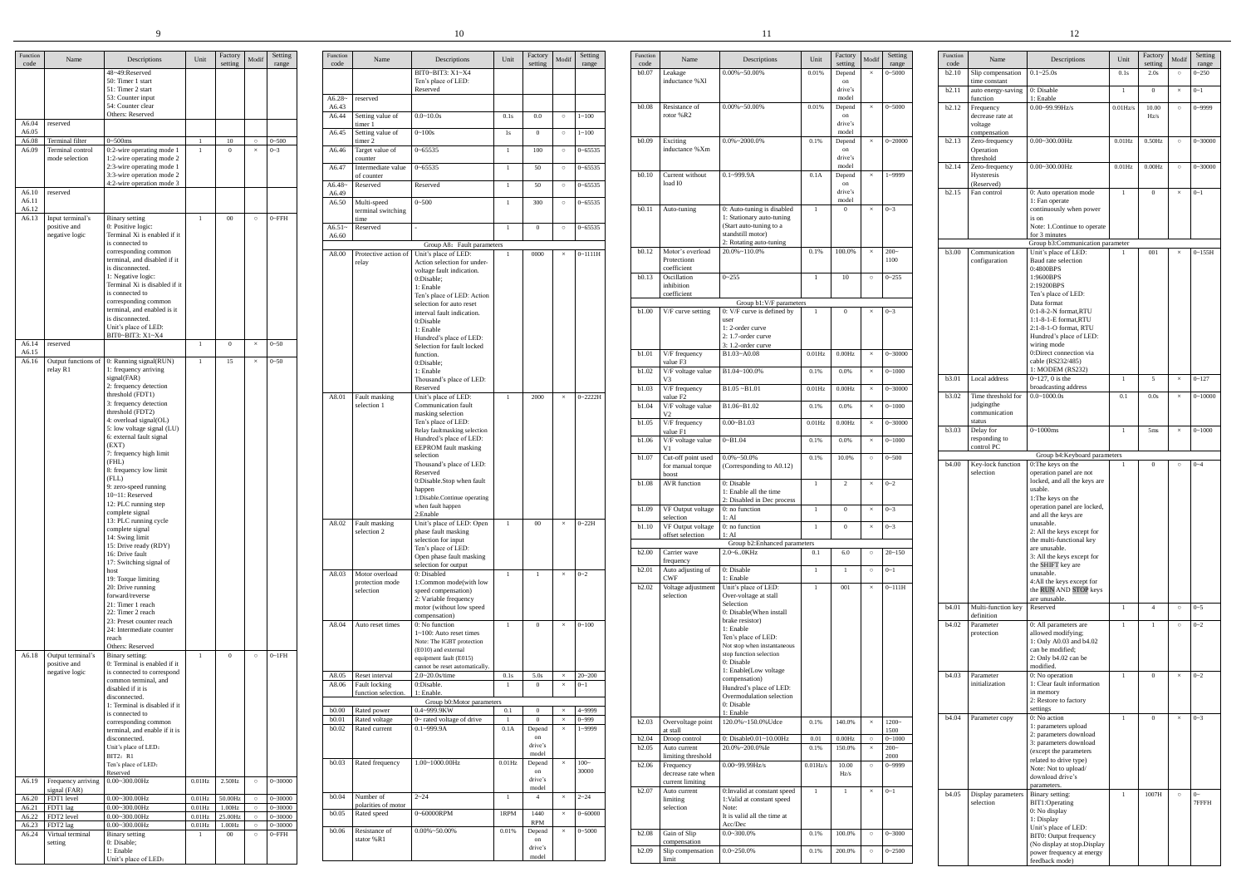|                |                                    | 9                                                          |                        |                   |          |                            |                   |                                          | 10                                                      |                |                      |                      |                     |               |                                           |                                                           |                |                         |                         |                  |                                  | 12                                                        |
|----------------|------------------------------------|------------------------------------------------------------|------------------------|-------------------|----------|----------------------------|-------------------|------------------------------------------|---------------------------------------------------------|----------------|----------------------|----------------------|---------------------|---------------|-------------------------------------------|-----------------------------------------------------------|----------------|-------------------------|-------------------------|------------------|----------------------------------|-----------------------------------------------------------|
| Function       | Name                               | Descriptions                                               | Unit                   | Factory           | Aodi:    | Setting                    | Function<br>code  | Name                                     | Descriptions                                            | Unit           | Factory<br>settins   | Modi                 | Setting             | Function      | Name                                      | Descriptions                                              | Unit           | Factory                 | Setting<br><b>Aodit</b> | Function<br>code | Name                             | Descriptio                                                |
| code           |                                    | 48~49:Reserved<br>50: Timer 1 start                        |                        | setting           |          | range                      |                   |                                          | BIT0~BIT3: X1~X4<br>Ten's place of LED:                 |                |                      |                      | range               | code<br>b0.07 | Leakage<br>inductance %Xl                 | $0.00\% \sim 50.00\%$                                     | 0.01%          | setting<br>Depend<br>on | range<br>$0 - 5000$     | b2.10            | Slip compensation<br>me constant | $0.1 - 25.0s$                                             |
|                |                                    | 51: Timer 2 start<br>53: Counter input                     |                        |                   |          |                            | $A6.28-$          | reserved                                 | Reserved                                                |                |                      |                      |                     |               |                                           |                                                           |                | drive's<br>model        |                         | b2.11            | auto energy-saving               | ): Disable<br>1: Enable                                   |
|                |                                    | 54: Counter clear                                          |                        |                   |          |                            | A6.43             |                                          |                                                         |                |                      |                      |                     | b0.08         | Resistance of                             | $0.00\% \sim 50.00\%$                                     | 0.01%          | Depend                  | $0 - 5000$              | b2.12            | function<br>requency             | $0.00 - 99.99$ Hz/s                                       |
| A6.04          | reserved                           | Others: Reserved                                           |                        |                   |          |                            | A6.44             | Setting value of<br>timer 1              | $0.0 - 10.0s$                                           | 0.1s           | $0.0\,$              | $\circ$              | $1 - 100$           |               | rotor %R2                                 |                                                           |                | on<br>drive's           |                         |                  | decrease rate at<br>voltage      |                                                           |
| A6.05<br>A6.08 | Terminal filter                    | $3 - 500$ ms                                               |                        | 10                |          | $0 - 500$                  | A6.45             | Setting value of<br>timer 2              | $0 - 100s$                                              | 1s             | $\Omega$             | $\circ$              | $1 - 100$           | b0.09         | Exciting                                  | $0.0\%$ ~2000.0%                                          | 0.1%           | model<br>Depend         | $0 - 20000$             | b2.13            | compensation<br>Zero-frequency   | $0.00 - 300.00$ Hz                                        |
| A6.09          | Terminal control<br>mode selection | 0:2-wire operating mode 1<br>1:2-wire operating mode 2     |                        | $\Omega$          |          | $0 - 3$                    | A6.46             | Target value of<br>counter               | $0 - 65535$                                             | $\overline{1}$ | 100                  | $\circ$              | $0 - 65535$         |               | inductance %Xm                            |                                                           |                | on<br>drive's           |                         |                  | Operation<br>threshold           |                                                           |
|                |                                    | 2:3-wire operating mode 1<br>3:3-wire operation mode 2     |                        |                   |          |                            | A6.47             | Intermediate value<br>of counter         | $0 - 65535$                                             | - 1            | 50                   | $\circ$              | $0 - 65535$         | b0.10         | Current without                           | $0.1 - 999.9A$                                            | 0.1A           | model<br>Depend         | 1~9999                  | b2.14            | Zero-frequency<br>Hysteresis     | $0.00 - 300.00$ Hz                                        |
| A6.10          | reserved                           | 4:2-wire operation mode 3                                  |                        |                   |          |                            | $A6.48-$          | Reserved                                 | Reserved                                                | $\overline{1}$ | 50                   | $\circ$              | $0 - 65535$         |               | load I0                                   |                                                           |                | on<br>drive's           |                         |                  | (Reserved)                       |                                                           |
| A6.11          |                                    |                                                            |                        |                   |          |                            | A6.49<br>A6.50    | Multi-speed                              | $0 - 500$                                               | $\overline{1}$ | 300                  | $\circ$              | $0 - 65535$         |               |                                           |                                                           |                | model                   |                         | b2.15            | Fan control                      | 0: Auto operation<br>1: Fan operate                       |
| A6.12<br>A6.13 | Input terminal'                    | Binary setting                                             | $\mathbf{1}$           | $00\,$            | $\circ$  | $0$ ~FFH                   |                   | terminal switching<br>time               |                                                         |                |                      |                      |                     | b0.11         | Auto-tuning                               | 0: Auto-tuning is disabled<br>: Stationary auto-tuning    |                | $\Omega$                | $0 - 3$                 |                  |                                  | continuously whe<br>is on                                 |
|                | positive and<br>negative logic     | ): Positive logic:<br>Terminal Xi is enabled if it         |                        |                   |          |                            | $A6.51-$<br>A6.60 | Reserved                                 |                                                         | $\overline{1}$ | $\Omega$             | $\circ$              | $0 - 65535$         |               |                                           | (Start auto-tuning to a<br>standstill motor)              |                |                         |                         |                  |                                  | Note: 1.Continue<br>for 3 minutes                         |
|                |                                    | is connected to<br>corresponding common                    |                        |                   |          |                            | A8.00             | Protective action of                     | Group A8: Fault parameters<br>Unit's place of LED:      |                | 0000                 | $\times$             | $0 - 1111H$         | b0.12         | Motor's overload                          | 2: Rotating auto-tuning<br>20.0%~110.0%                   | 0.1%           | 100.0%                  | $200-$                  | b3.00            | Communication                    | Group b3:Commu<br>Unit's place of LI                      |
|                |                                    | erminal, and disabled if it<br>s disconnected.             |                        |                   |          |                            |                   | relay                                    | Action selection for under-                             |                |                      |                      |                     |               | Protectionn<br>coefficient                |                                                           |                |                         | 1100                    |                  | configuration                    | Baud rate selectic<br>0:4800BPS                           |
|                |                                    | : Negative logic:<br>Terminal Xi is disabled if it         |                        |                   |          |                            |                   |                                          | voltage fault indication.<br>0:Disable;                 |                |                      |                      |                     | b0.13         | Oscillation<br>inhibition                 | $0 - 255$                                                 |                | 10                      | $0 - 255$<br>$\circ$    |                  |                                  | 1:9600BPS                                                 |
|                |                                    | is connected to                                            |                        |                   |          |                            |                   |                                          | 1: Enable<br>Ten's place of LED: Action                 |                |                      |                      |                     |               | coefficient                               |                                                           |                |                         |                         |                  |                                  | 2:19200BPS<br>Ten's place of LE                           |
|                |                                    | corresponding common<br>erminal, and enabled is it         |                        |                   |          |                            |                   |                                          | selection for auto reset<br>interval fault indication.  |                |                      |                      |                     | b1.00         | V/F curve setting                         | Group b1:V/F parameters<br>0: V/F curve is defined by     |                | $\Omega$                | $0 - 3$                 |                  |                                  | Data format<br>0:1-8-2-N format                           |
|                |                                    | is disconnected.<br>Unit's place of LED:                   |                        |                   |          |                            |                   |                                          | 0:Disable<br>1: Enable                                  |                |                      |                      |                     |               |                                           | user<br>1:2-order curve                                   |                |                         |                         |                  |                                  | $1:1-8-1-E$ format,<br>2:1-8-1-O format,                  |
| A6.14          | reserved                           | BIT0~BIT3: X1~X4                                           | $\overline{1}$         | $\mathbf{0}$      |          | $0 - 50$                   |                   |                                          | Hundred's place of LED:<br>Selection for fault locked   |                |                      |                      |                     |               |                                           | 2: 1.7-order curve<br>3: 1.2-order curve                  |                |                         |                         |                  |                                  | Hundred's place o<br>wiring mode                          |
| A6.15<br>A6.16 | Output functions of                | 0: Running signal(RUN)                                     |                        | 15                | $\times$ | $0 - 50$                   |                   |                                          | function.<br>0:Disable;                                 |                |                      |                      |                     | b1.01         | V/F frequency<br>value F3                 | B1.03~A0.08                                               | $0.01$ Hz      | 0.00Hz                  | $0 - 30000$<br>$\times$ |                  |                                  | 0:Direct connectio<br>cable (RS232/485                    |
|                | relay R1                           | 1: frequency arriving<br>signal(FAR)                       |                        |                   |          |                            |                   |                                          | 1: Enable                                               |                |                      |                      |                     | b1.02         | V/F voltage value                         | B1.04~100.0%                                              | 0.1%           | 0.0%                    | $0 - 1000$              | b3.01            | Local address                    | 1: MODEM (RS2<br>$0 - 127$ , 0 is the                     |
|                |                                    | 2: frequency detection<br>hreshold (FDT1)                  |                        |                   |          |                            |                   |                                          | Thousand's place of LED:<br>Reserved                    |                |                      |                      |                     | b1.03         | V/F frequency                             | $B1.05 - B1.01$                                           | $0.01$ Hz      | 0.00Hz                  | $0 - 30000$             |                  |                                  | broadcasting addı                                         |
|                |                                    | 3: frequency detection                                     |                        |                   |          |                            | A8.01             | Fault masking<br>selection 1             | Unit's place of LED:<br>Communication fault             | $\overline{1}$ | 2000                 | $\times$             | $0 - 2222H$         | b1.04         | value F2<br>V/F voltage value             | B1.06~B1.02                                               | 0.1%           | 0.0%                    | $0 - 1000$              | <b>b</b> 3.02    | Time threshold for<br>judgingthe | $0.0 - 1000.0s$                                           |
|                |                                    | hreshold (FDT2)<br>: overload signal(OL)                   |                        |                   |          |                            |                   |                                          | masking selection<br>Ten's place of LED:                |                |                      |                      |                     | b1.05         | $V/F$ frequency                           | $0.00 - B1.03$                                            | $0.01$ Hz      | 0.00Hz                  | $0 - 30000$             |                  | communication<br>status          |                                                           |
|                |                                    | 5: low voltage signal (LU)<br>5: external fault signal     |                        |                   |          |                            |                   |                                          | Relay faultmasking selection<br>Hundred's place of LED: |                |                      |                      |                     | b1.06         | value F1<br>V/F voltage value             | $0 - B1.04$                                               | 0.1%           | 0.0%                    | $0 - 1000$              | b3.03            | Delay for<br>responding to       | $0 - 1000$ ms                                             |
|                |                                    | (EXT)<br>7: frequency high limit                           |                        |                   |          |                            |                   |                                          | EEPROM fault masking<br>selection                       |                |                      |                      |                     | b1.07         |                                           | $0.0\% \sim 50.0\%$                                       | 0.1%           | 10.0%                   | $0 - 500$<br>$\circ$    |                  | control PC                       | Group b4:Keyb                                             |
|                |                                    | (FHL)<br>3: frequency low limit                            |                        |                   |          |                            |                   |                                          | Thousand's place of LED:<br>Reserved                    |                |                      |                      |                     |               | Cut-off point used<br>for manual torque   | (Corresponding to A0.12)                                  |                |                         |                         | <b>b</b> 4.00    | Key-lock function<br>selection   | :The keys on the<br>operation panel a                     |
|                |                                    | (FLL)<br>9: zero-speed running                             |                        |                   |          |                            |                   |                                          | 0:Disable.Stop when fault                               |                |                      |                      |                     | b1.08         | boost<br><b>AVR</b> function              | 0: Disable                                                |                | 2                       | $0 - 2$                 |                  |                                  | ocked, and all the                                        |
|                |                                    | 10~11: Reserved<br>12: PLC running step                    |                        |                   |          |                            |                   |                                          | happen<br>1:Disable.Continue operating                  |                |                      |                      |                     |               |                                           | 1: Enable all the time<br>2: Disabled in Dec process      |                |                         |                         |                  |                                  | usable.<br>1: The keys on the                             |
|                |                                    | complete signal<br>13: PLC running cycle                   |                        |                   |          |                            |                   |                                          | when fault happen<br>2:Enable                           |                |                      |                      |                     | b1.09         | VF Output voltage<br>selection            | 0: no function<br>1:AI                                    | - 1            | $\overline{0}$          | $0 - 3$                 |                  |                                  | operation panel a<br>and all the keys a                   |
|                |                                    | complete signal                                            |                        |                   |          |                            |                   | A8.02 Fault masking<br>selection 2       | Unit's place of LED: Open<br>phase fault masking        | $\overline{1}$ | $00\,$               | $\times$             | $0 - 22H$           | b1.10         | VF Output voltage<br>offset selection     | $0:$ no function<br>1:AI                                  |                | $\overline{0}$          | $0 - 3$                 |                  |                                  | unusable.<br>2: All the keys ex-                          |
|                |                                    | 14: Swing limit<br>15: Drive ready (RDY)                   |                        |                   |          |                            |                   |                                          | selection for input<br>Ten's place of LED:              |                |                      |                      |                     |               |                                           | Group b2: Enhanced parameters                             |                |                         |                         |                  |                                  | the multi-function<br>are unusable.                       |
|                |                                    | 16: Drive fault<br>17: Switching signal of                 |                        |                   |          |                            |                   |                                          | Open phase fault masking<br>selection for output        |                |                      |                      |                     | b2.00         | Carrier wave<br>frequency                 | 2.0~60KHz                                                 | 0.1            | 6.0                     | $20 - 150$<br>$\circ$   |                  |                                  | 3: All the keys exo<br>the SHIFT key are                  |
|                |                                    | iost<br>19: Torque limiting                                |                        |                   |          |                            | A8.03             | Motor overload<br>protection mode        | 0: Disabled<br>1:Common mode(with low                   |                |                      |                      | $\times$ 0~2        | b2.01         | Auto adjusting of<br>CWF                  | 0: Disable<br>1: Enable                                   | $\overline{1}$ |                         | $0 - 1$<br>$\circ$      |                  |                                  | unusable.<br>4:All the keys exc                           |
|                |                                    | 20: Drive running<br>forward/reverse                       |                        |                   |          |                            |                   | selection                                | speed compensation)<br>2: Variable frequency            |                |                      |                      |                     | b2.02         | Voltage adjustmen<br>selection            | Unit's place of LED:<br>Over-voltage at stall             | $\overline{1}$ | 001                     | $0 - 111H$<br>$\times$  |                  |                                  | the RUN AND ST<br>are unusable.                           |
|                |                                    | 21: Timer 1 reach<br>22: Timer 2 reach                     |                        |                   |          |                            |                   |                                          | motor (without low speed                                |                |                      |                      |                     |               |                                           | Selection<br>0: Disable(When install                      |                |                         |                         | b4.01            | Multi-function key               | Reserved                                                  |
|                |                                    | 23: Preset counter reach<br>24: Intermediate counter       |                        |                   |          |                            |                   | A8.04 Auto reset times                   | compensation)<br>0: No function                         | $\overline{1}$ | $\overline{0}$       | $\times$             | $0 - 100$           |               |                                           | brake resistor)<br>1: Enable                              |                |                         |                         | b4.02            | definition<br>Parameter          | 0: All parameters                                         |
|                |                                    | reach<br>Others: Reserved                                  |                        |                   |          |                            |                   |                                          | $1~100$ : Auto reset times<br>Note: The IGBT protection |                |                      |                      |                     |               |                                           | Ten's place of LED:<br>Not stop when instantaneous        |                |                         |                         |                  | protection                       | allowed modifyin<br>1: Only A0.03 and                     |
| A6.18          | Output terminal's                  | Binary setting:                                            |                        | $\overline{0}$    |          | $0 - 1FH$                  |                   |                                          | (E010) and external<br>equipment fault (E015)           |                |                      |                      |                     |               |                                           | stop function selection<br>0: Disable                     |                |                         |                         |                  |                                  | can be modified;<br>2: Only b4.02 car                     |
|                | positive and<br>negative logic     | ): Terminal is enabled if it<br>is connected to correspond |                        |                   |          |                            |                   | A8.05 Reset interval                     | cannot be reset automatically<br>$2.0 - 20.0$ s/time    | 0.1s           | 5.0s                 | $\times$             | $20 - 200$          |               |                                           | 1: Enable(Low voltage                                     |                |                         |                         | b4.03            | Parameter                        | modified.<br>0: No operation                              |
|                |                                    | common terminal, and<br>disabled if it is                  |                        |                   |          |                            | A8.06             | Fault locking<br>function selection.     | 0:Disable.<br>1: Enable                                 | <sup>1</sup>   | $\overline{0}$       | $\times$             | $0 - 1$             |               |                                           | compensation)<br>Hundred's place of LED:                  |                |                         |                         |                  | initialization                   | 1: Clear fault info<br>in memory                          |
|                |                                    | disconnected.<br>: Terminal is disabled if it              |                        |                   |          |                            |                   |                                          | Group b0: Motor parameters                              |                |                      |                      |                     |               |                                           | Overmodulation selection<br>0: Disable                    |                |                         |                         |                  |                                  | 2: Restore to facto                                       |
|                |                                    | is connected to<br>corresponding common                    |                        |                   |          |                            | b0.01             | b0.00 Rated power<br>Rated voltage       | 0.4~999.9KW<br>$0$ ~ rated voltage of drive             | 0.1            | $\Omega$<br>$\Omega$ | $\times$<br>$\times$ | 4~9999<br>$0 - 999$ | b2.03         | Overvoltage point                         | 1: Enable<br>120.0%~150.0% Udce                           | 0.1%           | 140.0%                  | $1200-$                 | b4.04            | Parameter copy                   | settings<br>): No action                                  |
|                |                                    | terminal, and enable if it is<br>disconnected.             |                        |                   |          |                            | b0.02             | Rated current                            | $0.1 - 999.9A$                                          | 0.1A           | Depend<br>on         | $\times$             | 1~9999              | b2.04         | at stall<br>Droop control                 | 0: Disable0.01~10.00Hz                                    | 0.01           | 0.00Hz                  | 1500<br>$0 - 1000$      |                  |                                  | : parameters upl<br>: parameters dov                      |
|                |                                    | Unit's place of LED:<br>BIT2: R1                           |                        |                   |          |                            |                   |                                          |                                                         |                | drive's<br>model     |                      |                     | b2.05         | Auto current<br>limiting threshold        | 20.0%~200.0% Ie                                           | 0.1%           | 150.0%                  | $200-$<br>2000          |                  |                                  | 3: parameters dov<br>(except the param                    |
|                |                                    | Ten's place of LED:                                        |                        |                   |          |                            |                   | b0.03 Rated frequency                    | 1.00~1000.00Hz                                          | $0.01$ Hz      | Depend<br>on         |                      | $100-$<br>30000     | b2.06         | Frequency                                 | $0.00 - 99.99$ Hz/s                                       | $0.01$ Hz/s    | 10.00                   | 0~9999<br>$\circ$       |                  |                                  | related to drive ty<br>Note: Not to uplo                  |
| A6.19          | Frequency arriving                 | Reserved<br>$0.00 - 300.00$ Hz                             | $0.01$ Hz              | 2.50Hz            | $\circ$  | $0 - 30000$                |                   |                                          |                                                         |                | drive's<br>model     |                      |                     |               | decrease rate when<br>current limiting    |                                                           |                | Hz/s                    |                         |                  |                                  | download drive's<br>parameters.                           |
| A6.20          | signal (FAR)<br>FDT1 level         | $0.00 - 300.00$ Hz                                         | $0.01$ Hz              | 50.00Hz           |          | $0 - 30000$                | b0.04             | Number of                                | $2 - 24$                                                | $\overline{1}$ | $\overline{4}$       |                      | $2 - 24$            | b2.07         | Auto current<br>limiting                  | 0: Invalid at constant speed<br>1:Valid at constant speed |                | $\overline{1}$          | $0 - 1$                 | b4.05            | Display parameters<br>selection  | Binary setting:<br>BIT1:Operating                         |
| A6.21<br>A6.22 | FDT1 lag<br>FDT2 level             | $0.00 - 300.00$ Hz<br>$0.00 - 300.00$ Hz                   | $0.01$ Hz<br>$0.01$ Hz | 1.00Hz<br>25.00Hz |          | $0 - 30000$<br>$0 - 30000$ |                   | polarities of motor<br>b0.05 Rated speed | 0~60000RPM                                              | 1RPM           | 1440                 | $\times$             | $0 - 60000$         |               | selection                                 | Note:<br>It is valid all the time at                      |                |                         |                         |                  |                                  | 0: No display<br>1: Display                               |
| A6.23<br>A6.24 | FDT2 lag<br>Virtual terminal       | $0.00 - 300.00$ Hz<br><b>Binary</b> setting                | $0.01$ Hz              | 1.00Hz<br>$00\,$  |          | $0 - 30000$<br>$0$ ~FFH    | b0.06             | Resistance of                            | $0.00\% \sim 50.00\%$                                   | 0.01%          | <b>RPM</b><br>Depend | $\times$             | $0 - 5000$          | <b>b2.08</b>  | Gain of Slip                              | Acc/Dec<br>$0.0 - 300.0\%$                                | 0.1%           | 100.0%                  | $0 - 3000$<br>$\circ$   |                  |                                  | Unit's place of LI                                        |
|                | setting                            | 0: Disable;<br>1: Enable                                   |                        |                   |          |                            |                   | stator %R1                               |                                                         |                | on<br>drive's        |                      |                     |               | compensation<br>$b2.09$ Slip compensation | $0.0 - 250.0\%$                                           | 0.1%           | 200.0%                  | $0 - 2500$<br>$\circ$   |                  |                                  | BIT0: Output frec<br>(No display at sto<br>ower frequency |
|                |                                    |                                                            |                        |                   |          |                            |                   |                                          |                                                         |                |                      |                      |                     |               |                                           |                                                           |                |                         |                         |                  |                                  |                                                           |

Unit's place of LED:

| Function<br>code  | Name                                           | Descriptions                                                                                                                                                                                                                                                                                                                                                           | Unit         | Factory<br>setting               | Modif                | Setting<br>range      |
|-------------------|------------------------------------------------|------------------------------------------------------------------------------------------------------------------------------------------------------------------------------------------------------------------------------------------------------------------------------------------------------------------------------------------------------------------------|--------------|----------------------------------|----------------------|-----------------------|
|                   |                                                | BIT0~BIT3: X1~X4<br>Ten's place of LED:                                                                                                                                                                                                                                                                                                                                |              |                                  |                      |                       |
| $A6.28-$          | reserved                                       | Reserved                                                                                                                                                                                                                                                                                                                                                               |              |                                  |                      |                       |
| A6.43<br>A6.44    | Setting value of                               | $0.0 - 10.0s$                                                                                                                                                                                                                                                                                                                                                          | 0.1s         | 0.0                              | $\circ$              | $1 - 100$             |
| A6.45             | timer 1<br>Setting value of                    | $0 - 100s$                                                                                                                                                                                                                                                                                                                                                             | 1s           | $\mathbf{0}$                     | $\circ$              | $1 - 100$             |
| A6.46             | timer 2<br>Target value of                     | $0 - 65535$                                                                                                                                                                                                                                                                                                                                                            | $\mathbf{1}$ | 100                              | $\circ$              | $0 - 65535$           |
| A6.47             | counter<br>Intermediate value<br>of counter    | $0 - 65535$                                                                                                                                                                                                                                                                                                                                                            | $\mathbf{1}$ | 50                               | $\circ$              | $0 - 65535$           |
| $A6.48-$<br>A6.49 | Reserved                                       | Reserved                                                                                                                                                                                                                                                                                                                                                               | $\mathbf{1}$ | 50                               | $\circ$              | $0 - 65535$           |
| A6.50             | Multi-speed<br>terminal switching<br>time      | $0 - 500$                                                                                                                                                                                                                                                                                                                                                              | $\mathbf{1}$ | 300                              | $\circ$              | $0 - 65535$           |
| $A6.51-$<br>A6.60 | Reserved                                       |                                                                                                                                                                                                                                                                                                                                                                        | 1            | $\overline{0}$                   | $\circ$              | $0 - 65535$           |
|                   |                                                | Group A8: Fault parameters                                                                                                                                                                                                                                                                                                                                             |              |                                  |                      |                       |
| A8.00             | Protective action of<br>relay                  | Unit's place of LED:<br>Action selection for under-<br>voltage fault indication.<br>0:Disable;<br>1: Enable<br>Ten's place of LED: Action<br>selection for auto reset<br>interval fault indication.<br>0:Disable<br>1: Enable<br>Hundred's place of LED:<br>Selection for fault locked<br>function.<br>0:Disable;<br>1: Enable<br>Thousand's place of LED:<br>Reserved | 1            | 0000                             | $\times$             | $0 - 1111H$           |
| A8.01             | Fault masking<br>selection 1                   | Unit's place of LED:<br>Communication fault<br>masking selection<br>Ten's place of LED:<br>Relay faultmasking selection<br>Hundred's place of LED:<br>EEPROM fault masking<br>selection<br>Thousand's place of LED:<br>Reserved<br>0:Disable.Stop when fault<br>happen<br>1:Disable.Continue operating<br>when fault happen<br>2:Enable                                | $\mathbf{1}$ | 2000                             | $\times$             | $0 - 2222H$           |
| A8.02             | Fault masking<br>selection 2                   | Unit's place of LED: Open<br>phase fault masking<br>selection for input<br>Ten's place of LED:<br>Open phase fault masking<br>selection for output                                                                                                                                                                                                                     | $\mathbf{1}$ | $00\,$                           | $\times$             | $0 - 22H$             |
| A8.03             | Motor overload<br>protection mode<br>selection | 0: Disabled<br>1:Common mode(with low<br>speed compensation)<br>2: Variable frequency<br>motor (without low speed<br>compensation)                                                                                                                                                                                                                                     | $\mathbf{1}$ | $\mathbf{1}$                     | $\times$             | $0 - 2$               |
| A8.04             | Auto reset times                               | 0: No function<br>$1 \sim 100$ : Auto reset times<br>Note: The IGBT protection<br>(E010) and external<br>equipment fault (E015)<br>cannot be reset automatically.                                                                                                                                                                                                      | $\mathbf{1}$ | $\boldsymbol{0}$                 | $\times$             | $0 - 100$             |
| A8.05<br>A8.06    | Reset interval<br>Fault locking                | 2.0~20.0s/time<br>0:Disable.                                                                                                                                                                                                                                                                                                                                           | 0.1s<br>1    | $5.0s$<br>$\overline{0}$         | $\times$<br>$\times$ | $20 - 200$<br>$0 - 1$ |
|                   | function selection.                            | 1: Enable.<br>Group b0:Motor parameters                                                                                                                                                                                                                                                                                                                                |              |                                  |                      |                       |
| b0.00             | Rated power                                    | 0.4~999.9KW                                                                                                                                                                                                                                                                                                                                                            | 0.1          | $\boldsymbol{0}$                 | $\times$             | 4~9999                |
| b0.01             | Rated voltage                                  | 0~ rated voltage of drive                                                                                                                                                                                                                                                                                                                                              | $\mathbf{1}$ | $\boldsymbol{0}$                 | $\times$             | $0 - 999$             |
| b0.02             | Rated current                                  | $0.1 - 999.9A$                                                                                                                                                                                                                                                                                                                                                         | 0.1A         | Depend<br>on<br>drive's<br>model | $\times$             | 1~9999                |
| b <sub>0.03</sub> | Rated frequency                                | 1.00~1000.00Hz                                                                                                                                                                                                                                                                                                                                                         | $0.01$ Hz    | Depend<br>on<br>drive's<br>model | $\times$             | $100 -$<br>30000      |
| b0.04             | Number of<br>polarities of motor               | $2 - 24$                                                                                                                                                                                                                                                                                                                                                               | $\mathbf{1}$ | 4                                | $\times$             | $2 - 24$              |
| b0.05             | Rated speed                                    | 0~60000RPM                                                                                                                                                                                                                                                                                                                                                             | 1RPM         | 1440<br><b>RPM</b>               | $\times$             | $0 - 60000$           |
| b0.06             | Resistance of<br>stator %R1                    | $0.00\% \sim 50.00\%$                                                                                                                                                                                                                                                                                                                                                  | 0.01%        | Depend<br>on<br>drive's          | $\times$             | $0 - 5000$            |

model

| Function      | Name                                  | Descriptions                                            | Unit         | Factory           | Modif    | Setting             |
|---------------|---------------------------------------|---------------------------------------------------------|--------------|-------------------|----------|---------------------|
| code<br>b0.07 | Leakage                               | $0.00\% \sim 50.00\%$                                   | 0.01%        | setting<br>Depend | $\times$ | range<br>$0 - 5000$ |
|               | inductance %Xl                        |                                                         |              | on                |          |                     |
|               |                                       |                                                         |              | drive's<br>model  |          |                     |
| b0.08         | Resistance of                         | $0.00\% \sim 50.00\%$                                   | 0.01%        | Depend            | $\times$ | $0 - 5000$          |
|               | rotor %R2                             |                                                         |              | on<br>drive's     |          |                     |
|               |                                       |                                                         |              | model             |          |                     |
| b0.09         | Exciting<br>inductance %Xm            | $0.0\%$ ~2000.0%                                        | 0.1%         | Depend<br>on      | $\times$ | $0 - 20000$         |
|               |                                       |                                                         |              | drive's           |          |                     |
| b0.10         | Current without                       | $0.1 - 999.9A$                                          | 0.1A         | model<br>Depend   | $\times$ | 1~9999              |
|               | load I0                               |                                                         |              | on<br>drive's     |          |                     |
|               |                                       |                                                         |              | model             |          |                     |
| b0.11         | Auto-tuning                           | 0: Auto-tuning is disabled<br>1: Stationary auto-tuning | 1            | $\theta$          | $\times$ | $0 - 3$             |
|               |                                       | (Start auto-tuning to a                                 |              |                   |          |                     |
|               |                                       | standstill motor)<br>2: Rotating auto-tuning            |              |                   |          |                     |
| b0.12         | Motor's overload                      | $20.0\% - 110.0\%$                                      | 0.1%         | 100.0%            | $\times$ | $200-$              |
|               | Protectionn<br>coefficient            |                                                         |              |                   |          | 1100                |
| b0.13         | Oscillation                           | $0 - 255$                                               | 1            | 10                | $\circ$  | $0 - 255$           |
|               | inhibition<br>coefficient             |                                                         |              |                   |          |                     |
|               |                                       | Group b1:V/F parameters                                 |              |                   |          |                     |
| b1.00         | V/F curve setting                     | 0: V/F curve is defined by<br>user                      | $\mathbf{1}$ | $\boldsymbol{0}$  | $\times$ | $0 - 3$             |
|               |                                       | 1:2-order curve                                         |              |                   |          |                     |
|               |                                       | 2: 1.7-order curve<br>3: 1.2-order curve                |              |                   |          |                     |
| b1.01         | V/F frequency                         | B1.03~A0.08                                             | $0.01$ Hz    | 0.00Hz            | $\times$ | $0 - 30000$         |
| b1.02         | value F3<br>V/F voltage value         | B1.04~100.0%                                            | 0.1%         |                   |          | $0 - 1000$          |
|               | V3                                    |                                                         |              | 0.0%              | $\times$ |                     |
| b1.03         | V/F frequency<br>value F <sub>2</sub> | $B1.05 - B1.01$                                         | $0.01$ Hz    | 0.00Hz            | $\times$ | $0 - 30000$         |
| b1.04         | V/F voltage value<br>V2               | B1.06~B1.02                                             | 0.1%         | 0.0%              | $\times$ | $0 - 1000$          |
| b1.05         | V/F frequency<br>value F1             | $0.00 - B1.03$                                          | $0.01$ Hz    | 0.00Hz            | $\times$ | $0 - 30000$         |
| b1.06         | V/F voltage value<br>V1               | $0 - B1.04$                                             | 0.1%         | 0.0%              | $\times$ | $0 - 1000$          |
| b1.07         | Cut-off point used                    | $0.0\% \sim 50.0\%$                                     | 0.1%         | 10.0%             | $\circ$  | $0 - 500$           |
|               | for manual torque<br><b>boost</b>     | (Corresponding to A0.12)                                |              |                   |          |                     |
| b1.08         | <b>AVR</b> function                   | 0: Disable                                              | $\mathbf{1}$ | $\overline{c}$    | $\times$ | $0 - 2$             |
|               |                                       | 1: Enable all the time<br>2: Disabled in Dec process    |              |                   |          |                     |
| b1.09         | VF Output voltage                     | 0: no function                                          | $\mathbf{1}$ | $\mathbf{0}$      | $\times$ | $0 - 3$             |
| b1.10         | selection<br>VF Output voltage        | l: AI<br>0: no function                                 | 1            | $\mathbf{0}$      | $\times$ | $0 - 3$             |
|               | offset selection                      | 1:AI                                                    |              |                   |          |                     |
| b2.00         | Carrier wave                          | Group b2: Enhanced parameters<br>2.0~60KHz              | 0.1          | 6.0               | $\circ$  | $20 - 150$          |
|               | frequency                             |                                                         |              |                   |          |                     |
| b2.01         | Auto adjusting of                     | 0: Disable                                              | $\mathbf{1}$ | $\mathbf{1}$      | $\circ$  | $0 - 1$             |
| b2.02         | CWF<br>Voltage adjustment             | 1: Enable<br>Unit's place of LED:                       | $\mathbf{1}$ | 001               | $\times$ | $0 - 111H$          |
|               | selection                             | Over-voltage at stall<br>Selection                      |              |                   |          |                     |
|               |                                       | 0: Disable(When install                                 |              |                   |          |                     |
|               |                                       | brake resistor)                                         |              |                   |          |                     |
|               |                                       | 1: Enable<br>Ten's place of LED:                        |              |                   |          |                     |
|               |                                       | Not stop when instantaneous                             |              |                   |          |                     |
|               |                                       | stop function selection<br>0: Disable                   |              |                   |          |                     |
|               |                                       | 1: Enable(Low voltage                                   |              |                   |          |                     |
|               |                                       | compensation)<br>Hundred's place of LED:                |              |                   |          |                     |
|               |                                       | Overmodulation selection                                |              |                   |          |                     |
|               |                                       | 0: Disable<br>1: Enable                                 |              |                   |          |                     |
| b2.03         | Overvoltage point                     | 120.0%~150.0% Udce                                      | 0.1%         | 140.0%            | $\times$ | $1200 -$            |
| b2.04         | at stall<br>Droop control             | 0: Disable0.01~10.00Hz                                  | 0.01         | 0.00 Hz           | $\circ$  | 1500<br>$0 - 1000$  |
| b2.05         | Auto current                          | 20.0%~200.0% Ie                                         | 0.1%         | 150.0%            | $\times$ | $200 -$             |
| b2.06         | limiting threshold<br>Frequency       | $0.00 - 99.99$ Hz/s                                     | $0.01$ Hz/s  | 10.00             | $\circ$  | 2000<br>0~9999      |
|               | decrease rate when                    |                                                         |              | Hz/s              |          |                     |
| b2.07         | current limiting<br>Auto current      | 0:Invalid at constant speed                             | $\mathbf{1}$ | $\mathbf{1}$      |          | $0 - 1$             |
|               | limiting                              | 1:Valid at constant speed                               |              |                   | $\times$ |                     |
|               | selection                             | Note:<br>It is valid all the time at                    |              |                   |          |                     |
|               |                                       | Acc/Dec                                                 |              |                   |          |                     |
| <b>b2.08</b>  | Gain of Slip<br>compensation          | $0.0 - 300.0\%$                                         | 0.1%         | 100.0%            | $\circ$  | $0 - 3000$          |
| b2.09         | Slip compensation                     | $0.0 - 250.0\%$                                         | 0.1%         | 200.0%            | $\circ$  | $0 - 2500$          |
|               | limit                                 |                                                         |              |                   |          |                     |

| Function<br>code | Name                                                        | Descriptions                                                                                                                                                                                                                                                                                                                                                                    | Unit         | Factory         | Modif    | Setting            |
|------------------|-------------------------------------------------------------|---------------------------------------------------------------------------------------------------------------------------------------------------------------------------------------------------------------------------------------------------------------------------------------------------------------------------------------------------------------------------------|--------------|-----------------|----------|--------------------|
| b2.10            | Slip compensation                                           | $0.1 - 25.0s$                                                                                                                                                                                                                                                                                                                                                                   | 0.1s         | setting<br>2.0s | $\circ$  | range<br>$0 - 250$ |
| b2.11            | time constant<br>auto energy-saving                         | 0: Disable                                                                                                                                                                                                                                                                                                                                                                      | $\mathbf{1}$ | $\mathbf{0}$    | $\times$ | $0 - 1$            |
| b2.12            | function<br>Frequency                                       | 1: Enable<br>$0.00 - 99.99$ Hz/s                                                                                                                                                                                                                                                                                                                                                | $0.01$ Hz/s  | 10.00           | $\circ$  | 0~9999             |
|                  | decrease rate at<br>voltage<br>compensation                 |                                                                                                                                                                                                                                                                                                                                                                                 |              | Hz/s            |          |                    |
| b2.13            | Zero-frequency<br>Operation<br>threshold                    | $0.00 - 300.00$ Hz                                                                                                                                                                                                                                                                                                                                                              | $0.01$ Hz    | $0.50$ Hz       | $\circ$  | $0 - 30000$        |
| b2.14            | Zero-frequency<br>Hysteresis<br>(Reserved)                  | $0.00 - 300.00$ Hz                                                                                                                                                                                                                                                                                                                                                              | $0.01$ Hz    | 0.00Hz          | $\circ$  | $0 - 30000$        |
| b2.15            | Fan control                                                 | 0: Auto operation mode<br>1: Fan operate<br>continuously when power<br>is on<br>Note: 1.Continue to operate<br>for 3 minutes                                                                                                                                                                                                                                                    | $\mathbf{1}$ | $\mathbf{0}$    | $\times$ | $0 - 1$            |
| b3.00            | Communication                                               | Group b3:Communication parameter<br>Unit's place of LED:                                                                                                                                                                                                                                                                                                                        | 1            | 001             | $\times$ | $0 - 155H$         |
|                  | configuration                                               | Baud rate selection<br>0:4800BPS<br>1:9600BPS<br>2:19200BPS<br>Ten's place of LED:<br>Data format<br>$0:1-8-2-N$ format, RTU<br>1:1-8-1-E format, RTU<br>2:1-8-1-O format, RTU<br>Hundred's place of LED:<br>wiring mode<br>0:Direct connection via<br>cable (RS232/485)<br>1: MODEM (RS232)                                                                                    |              |                 |          |                    |
| b3.01            | Local address                                               | $0 - 127$ , 0 is the                                                                                                                                                                                                                                                                                                                                                            | $\mathbf{1}$ | 5               | $\times$ | $0 - 127$          |
| b3.02            | Time threshold for<br>judgingthe<br>communication<br>status | broadcasting address<br>$0.0 - 1000.0s$                                                                                                                                                                                                                                                                                                                                         | 0.1          | 0.0s            | $\times$ | $0 - 10000$        |
| b3.03            | Delay for<br>responding to<br>control PC                    | $0 - 1000$ ms                                                                                                                                                                                                                                                                                                                                                                   | $\mathbf{1}$ | 5ms             | $\times$ | $0 - 1000$         |
| b4.00            | Key-lock function                                           | Group b4: Keyboard parameters<br>0: The keys on the                                                                                                                                                                                                                                                                                                                             | 1            | $\overline{0}$  | $\circ$  | $0 - 4$            |
|                  | selection                                                   | operation panel are not<br>locked, and all the keys are<br>usable.<br>1: The keys on the<br>operation panel are locked,<br>and all the keys are<br>unusable.<br>2: All the keys except for<br>the multi-functional key<br>are unusable.<br>3: All the keys except for<br>the SHIFT key are<br>unusable.<br>4: All the keys except for<br>the RUN AND STOP keys<br>are unusable. |              |                 |          |                    |
| b4.01            | Multi-function key<br>definition                            | Reserved                                                                                                                                                                                                                                                                                                                                                                        | $\mathbf{1}$ | $\overline{4}$  | $\circ$  | $0 - 5$            |
| b4.02            | Parameter<br>protection                                     | 0: All parameters are<br>allowed modifying;<br>1: Only A0.03 and b4.02<br>can be modified;<br>2: Only b4.02 can be<br>modified.                                                                                                                                                                                                                                                 | $\mathbf{1}$ | 1               | $\circ$  | $0 - 2$            |
| b4.03            | Parameter<br>initialization                                 | 0: No operation<br>1: Clear fault information<br>in memory<br>2: Restore to factory<br>settings                                                                                                                                                                                                                                                                                 | $\mathbf{1}$ | $\overline{0}$  | $\times$ | $0 - 2$            |
| b4.04            | Parameter copy                                              | 0: No action<br>1: parameters upload<br>2: parameters download<br>3: parameters download<br>(except the parameters<br>related to drive type)<br>Note: Not to upload/<br>download drive's<br>parameters.                                                                                                                                                                         | $\mathbf{1}$ | $\mathbf{0}$    | $\times$ | $0 - 3$            |
| b4.05            | Display parameters<br>selection                             | Binary setting:<br>BIT1:Operating<br>0: No display<br>1: Display<br>Unit's place of LED:<br>BIT0: Output frequency<br>(No display at stop.Display<br>power frequency at energy<br>feedback mode)                                                                                                                                                                                | $\mathbf{1}$ | 1007H           | $\circ$  | $0-$<br>7FFFH      |